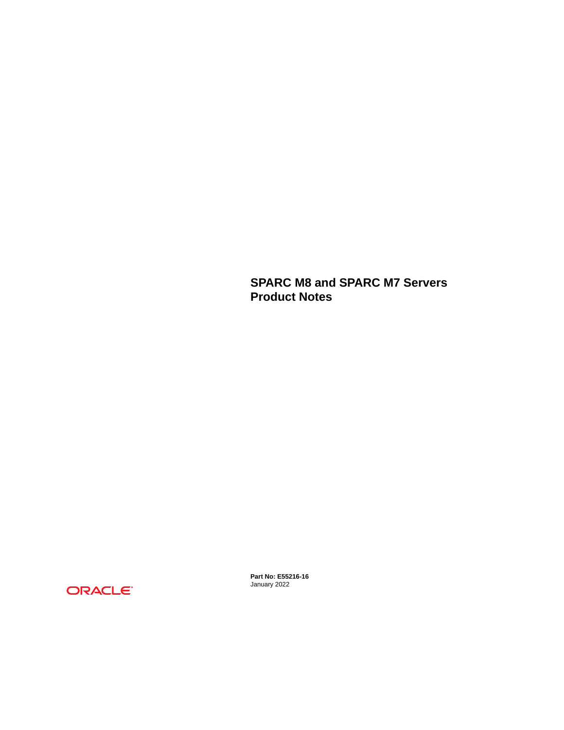**SPARC M8 and SPARC M7 Servers Product Notes**



**Part No: E55216-16** January 2022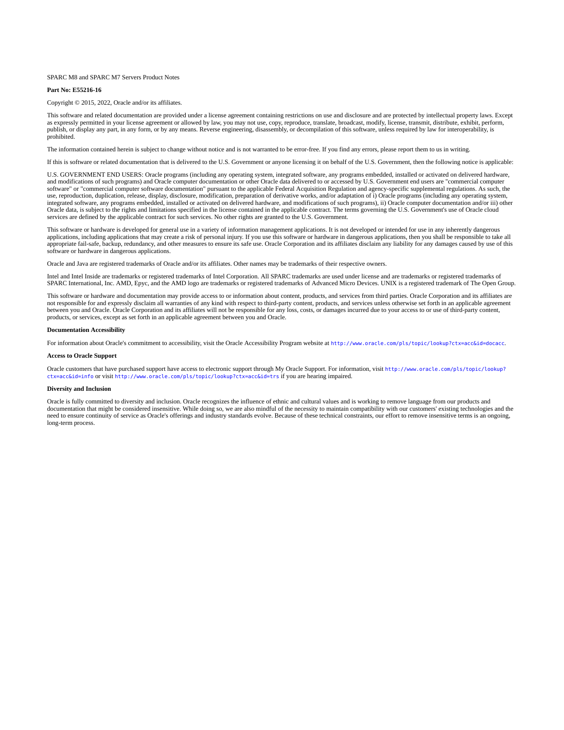#### SPARC M8 and SPARC M7 Servers Product Notes

#### **Part No: E55216-16**

#### Copyright © 2015, 2022, Oracle and/or its affiliates.

This software and related documentation are provided under a license agreement containing restrictions on use and disclosure and are protected by intellectual property laws. Except as expressly permitted in your license agreement or allowed by law, you may not use, copy, reproduce, translate, broadcast, modify, license, transmit, distribute, exhibit, perform,<br>publish, or display any part, in any form prohibited.

The information contained herein is subject to change without notice and is not warranted to be error-free. If you find any errors, please report them to us in writing.

If this is software or related documentation that is delivered to the U.S. Government or anyone licensing it on behalf of the U.S. Government, then the following notice is applicable:

U.S. GOVERNMENT END USERS: Oracle programs (including any operating system, integrated software, any programs embedded, installed or activated on delivered hardware, and modifications of such programs) and Oracle computer documentation or other Oracle data delivered to or accessed by U.S. Government end users are "commercial computer software" or "commercial computer software documentation" pursuant to the applicable Federal Acquisition Regulation and agency-specific supplemental regulations. As such, the use, reproduction, duplication, release, display, disclosure, modification, preparation of derivative works, and/or adaptation of i) Oracle programs (including any operating system, integrated software, any programs embedded, installed or activated on delivered hardware, and modifications of such programs), ii) Oracle computer documentation and/or iii) other Oracle data, is subject to the rights and limitations specified in the license contained in the applicable contract. The terms governing the U.S. Government's use of Oracle cloud services are defined by the applicable contract for such services. No other rights are granted to the U.S. Government.

This software or hardware is developed for general use in a variety of information management applications. It is not developed or intended for use in any inherently dangerous applications, including applications that may create a risk of personal injury. If you use this software or hardware in dangerous applications, then you shall be responsible to take all appropriate fail-safe, backup, redundancy, and other measures to ensure its safe use. Oracle Corporation and its affiliates disclaim any liability for any damages caused by use of this software or hardware in dangerous applications.

Oracle and Java are registered trademarks of Oracle and/or its affiliates. Other names may be trademarks of their respective owners.

Intel and Intel Inside are trademarks or registered trademarks of Intel Corporation. All SPARC trademarks are used under license and are trademarks or registered trademarks of SPARC International, Inc. AMD, Epyc, and the AMD logo are trademarks or registered trademarks of Advanced Micro Devices. UNIX is a registered trademark of The Open Group.

This software or hardware and documentation may provide access to or information about content, products, and services from third parties. Oracle Corporation and its affiliates are not responsible for and expressly disclaim all warranties of any kind with respect to third-party content, products, and services unless otherwise set forth in an applicable agreement between you and Oracle. Oracle Corporation and its affiliates will not be responsible for any loss, costs, or damages incurred due to your access to or use of third-party content, products, or services, except as set forth in an applicable agreement between you and Oracle.

#### **Documentation Accessibility**

For information about Oracle's commitment to accessibility, visit the Oracle Accessibility Program website at <http://www.oracle.com/pls/topic/lookup?ctx=acc&id=docacc>.

#### **Access to Oracle Support**

Oracle customers that have purchased support have access to electronic support through My Oracle Support. For information, visit [http://www.oracle.com/pls/topic/lookup?](http://www.oracle.com/pls/topic/lookup?ctx=acc&id=info) [ctx=acc&id=info](http://www.oracle.com/pls/topic/lookup?ctx=acc&id=info) or visit <http://www.oracle.com/pls/topic/lookup?ctx=acc&id=trs> if you are hearing impaired.

#### **Diversity and Inclusion**

Oracle is fully committed to diversity and inclusion. Oracle recognizes the influence of ethnic and cultural values and is working to remove language from our products and documentation that might be considered insensitive. While doing so, we are also mindful of the necessity to maintain compatibility with our customers' existing technologies and the need to ensure continuity of service as Oracle's offerings and industry standards evolve. Because of these technical constraints, our effort to remove insensitive terms is an ongoing, long-term process.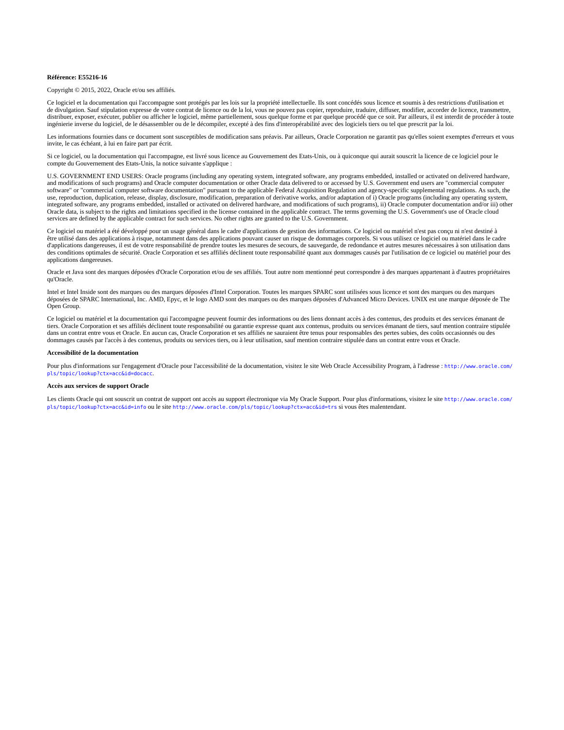#### **Référence: E55216-16**

Copyright © 2015, 2022, Oracle et/ou ses affiliés.

Ce logiciel et la documentation qui l'accompagne sont protégés par les lois sur la propriété intellectuelle. Ils sont concédés sous licence et soumis à des restrictions d'utilisation et de divulgation. Sauf stipulation expresse de votre contrat de licence ou de la loi, vous ne pouvez pas copier, reproduire, traduire, diffuser, modifier, accorder de licence, transmettre, distribuer, exposer, exécuter, publier ou afficher le logiciel, même partiellement, sous quelque forme et par quelque procédé que ce soit. Par ailleurs, il est interdit de procéder à toute ingénierie inverse du logiciel, de le désassembler ou de le décompiler, excepté à des fins d'interopérabilité avec des logiciels tiers ou tel que prescrit par la loi.

Les informations fournies dans ce document sont susceptibles de modification sans préavis. Par ailleurs, Oracle Corporation ne garantit pas qu'elles soient exemptes d'erreurs et vous invite, le cas échéant, à lui en faire part par écrit.

Si ce logiciel, ou la documentation qui l'accompagne, est livré sous licence au Gouvernement des Etats-Unis, ou à quiconque qui aurait souscrit la licence de ce logiciel pour le compte du Gouvernement des Etats-Unis, la notice suivante s'applique :

U.S. GOVERNMENT END USERS: Oracle programs (including any operating system, integrated software, any programs embedded, installed or activated on delivered hardware,<br>and modifications of such programs) and Oracle computer software" or "commercial computer software documentation" pursuant to the applicable Federal Acquisition Regulation and agency-specific supplemental regulations. As such, the use, reproduction, duplication, release, display, disclosure, modification, preparation of derivative works, and/or adaptation of i) Oracle programs (including any operating system, integrated software, any programs embedded, installed or activated on delivered hardware, and modifications of such programs), ii) Oracle computer documentation and/or iii) other Oracle data, is subject to the rights and limitations specified in the license contained in the applicable contract. The terms governing the U.S. Government's use of Oracle cloud services are defined by the applicable contract for such services. No other rights are granted to the U.S. Government.

Ce logiciel ou matériel a été développé pour un usage général dans le cadre d'applications de gestion des informations. Ce logiciel ou matériel n'est pas conçu ni n'est destiné à être utilisé dans des applications à risque, notamment dans des applications pouvant causer un risque de dommages corporels. Si vous utilisez ce logiciel ou matériel dans le cadre d'applications dangereuses, il est de votre responsabilité de prendre toutes les mesures de secours, de sauvegarde, de redondance et autres mesures nécessaires à son utilisation dans des conditions optimales de sécurité. Oracle Corporation et ses affiliés déclinent toute responsabilité quant aux dommages causés par l'utilisation de ce logiciel ou matériel pour des applications dangereuses.

Oracle et Java sont des marques déposées d'Oracle Corporation et/ou de ses affiliés. Tout autre nom mentionné peut correspondre à des marques appartenant à d'autres propriétaires qu'Oracle.

Intel et Intel Inside sont des marques ou des marques déposées d'Intel Corporation. Toutes les marques SPARC sont utilisées sous licence et sont des marques ou des marques déposées de SPARC International, Inc. AMD, Epyc, et le logo AMD sont des marques ou des marques déposées d'Advanced Micro Devices. UNIX est une marque déposée de The Open Group.

Ce logiciel ou matériel et la documentation qui l'accompagne peuvent fournir des informations ou des liens donnant accès à des contenus, des produits et des services émanant de tiers. Oracle Corporation et ses affiliés déclinent toute responsabilité ou garantie expresse quant aux contenus, produits ou services émanant de tiers, sauf mention contraire stipulée dans un contrat entre vous et Oracle. En aucun cas, Oracle Corporation et ses affiliés ne sauraient être tenus pour responsables des pertes subies, des coûts occasionnés ou des dommages causés par l'accès à des contenus, produits ou services tiers, ou à leur utilisation, sauf mention contraire stipulée dans un contrat entre vous et Oracle.

#### **Accessibilité de la documentation**

Pour plus d'informations sur l'engagement d'Oracle pour l'accessibilité de la documentation, visitez le site Web Oracle Accessibility Program, à l'adresse : [http://www.oracle.com/](http://www.oracle.com/pls/topic/lookup?ctx=acc&id=docacc) [pls/topic/lookup?ctx=acc&id=docacc](http://www.oracle.com/pls/topic/lookup?ctx=acc&id=docacc).

#### **Accès aux services de support Oracle**

Les clients Oracle qui ont souscrit un contrat de support ont accès au support électronique via My Oracle Support. Pour plus d'informations, visitez le site [http://www.oracle.com/](http://www.oracle.com/pls/topic/lookup?ctx=acc&id=info) [pls/topic/lookup?ctx=acc&id=info](http://www.oracle.com/pls/topic/lookup?ctx=acc&id=info) ou le site <http://www.oracle.com/pls/topic/lookup?ctx=acc&id=trs> si vous êtes malentendant.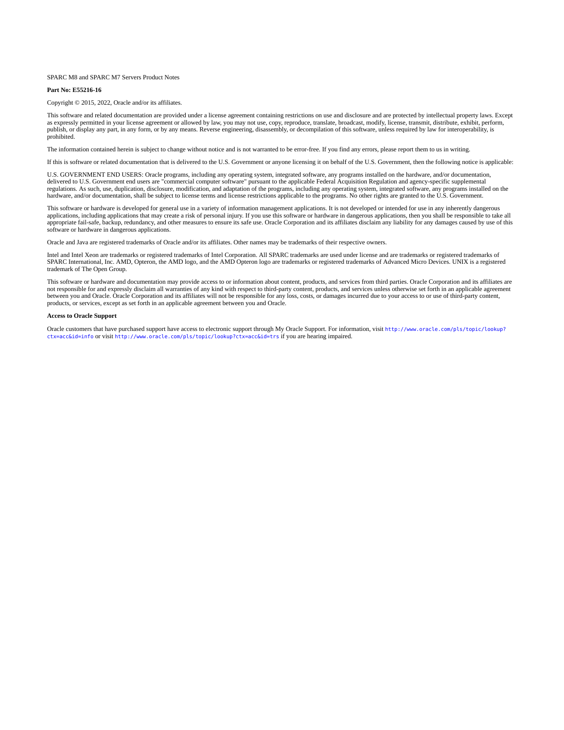#### SPARC M8 and SPARC M7 Servers Product Notes

#### **Part No: E55216-16**

#### Copyright © 2015, 2022, Oracle and/or its affiliates.

This software and related documentation are provided under a license agreement containing restrictions on use and disclosure and are protected by intellectual property laws. Except as expressly permitted in your license agreement or allowed by law, you may not use, copy, reproduce, translate, broadcast, modify, license, transmit, distribute, exhibit, perform,<br>publish, or display any part, in any form prohibited.

The information contained herein is subject to change without notice and is not warranted to be error-free. If you find any errors, please report them to us in writing.

If this is software or related documentation that is delivered to the U.S. Government or anyone licensing it on behalf of the U.S. Government, then the following notice is applicable:

U.S. GOVERNMENT END USERS: Oracle programs, including any operating system, integrated software, any programs installed on the hardware, and/or documentation, delivered to U.S. Government end users are "commercial computer software" pursuant to the applicable Federal Acquisition Regulation and agency-specific supplemental regulations. As such, use, duplication, disclosure, modification, and adaptation of the programs, including any operating system, integrated software, any programs installed on the<br>hardware, and/or documentation, shall be

This software or hardware is developed for general use in a variety of information management applications. It is not developed or intended for use in any inherently dangerous applications, including applications that may create a risk of personal injury. If you use this software or hardware in dangerous applications, then you shall be responsible to take all appropriate fail-safe, backup, redundancy, and other measures to ensure its safe use. Oracle Corporation and its affiliates disclaim any liability for any damages caused by use of this software or hardware in dangerous applications.

Oracle and Java are registered trademarks of Oracle and/or its affiliates. Other names may be trademarks of their respective owners.

Intel and Intel Xeon are trademarks or registered trademarks of Intel Corporation. All SPARC trademarks are used under license and are trademarks or registered trademarks of SPARC International, Inc. AMD, Opteron, the AMD logo, and the AMD Opteron logo are trademarks or registered trademarks of Advanced Micro Devices. UNIX is a registered trademark of The Open Group.

This software or hardware and documentation may provide access to or information about content, products, and services from third parties. Oracle Corporation and its affiliates are not responsible for and expressly disclaim all warranties of any kind with respect to third-party content, products, and services unless otherwise set forth in an applicable agreement between you and Oracle. Oracle Corporation and its affiliates will not be responsible for any loss, costs, or damages incurred due to your access to or use of third-party content, products, or services, except as set forth in an applicable agreement between you and Oracle.

#### **Access to Oracle Support**

Oracle customers that have purchased support have access to electronic support through My Oracle Support. For information, visit [http://www.oracle.com/pls/topic/lookup?](http://www.oracle.com/pls/topic/lookup?ctx=acc&id=info) [ctx=acc&id=info](http://www.oracle.com/pls/topic/lookup?ctx=acc&id=info) or visit <http://www.oracle.com/pls/topic/lookup?ctx=acc&id=trs> if you are hearing impaired.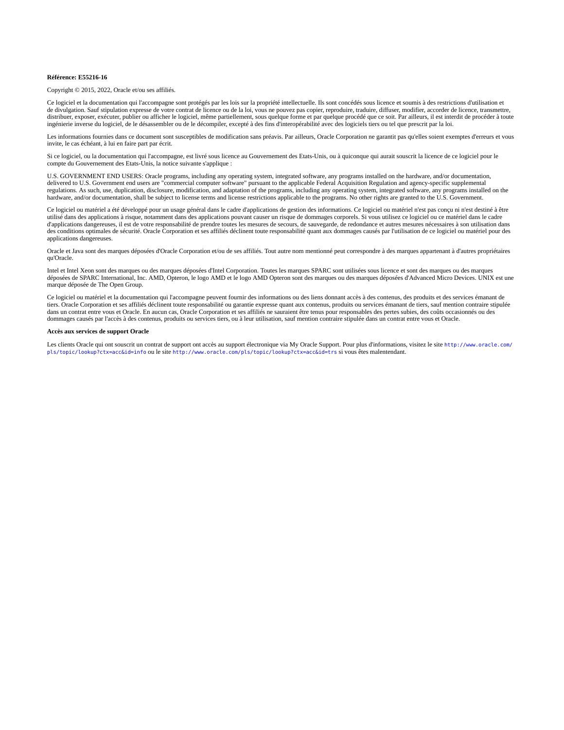#### **Référence: E55216-16**

Copyright © 2015, 2022, Oracle et/ou ses affiliés.

Ce logiciel et la documentation qui l'accompagne sont protégés par les lois sur la propriété intellectuelle. Ils sont concédés sous licence et soumis à des restrictions d'utilisation et de divulgation. Sauf stipulation expresse de votre contrat de licence ou de la loi, vous ne pouvez pas copier, reproduire, traduire, diffuser, modifier, accorder de licence, transmettre, distribuer, exposer, exécuter, publier ou afficher le logiciel, même partiellement, sous quelque forme et par quelque procédé que ce soit. Par ailleurs, il est interdit de procéder à toute ingénierie inverse du logiciel, de le désassembler ou de le décompiler, excepté à des fins d'interopérabilité avec des logiciels tiers ou tel que prescrit par la loi.

Les informations fournies dans ce document sont susceptibles de modification sans préavis. Par ailleurs, Oracle Corporation ne garantit pas qu'elles soient exemptes d'erreurs et vous invite, le cas échéant, à lui en faire part par écrit.

Si ce logiciel, ou la documentation qui l'accompagne, est livré sous licence au Gouvernement des Etats-Unis, ou à quiconque qui aurait souscrit la licence de ce logiciel pour le compte du Gouvernement des Etats-Unis, la notice suivante s'applique :

U.S. GOVERNMENT END USERS: Oracle programs, including any operating system, integrated software, any programs installed on the hardware, and/or documentation, delivered to U.S. Government end users are "commercial computer software" pursuant to the applicable Federal Acquisition Regulation and agency-specific supplemental<br>regulations. As such, use, duplication, disclosure, modif hardware, and/or documentation, shall be subject to license terms and license restrictions applicable to the programs. No other rights are granted to the U.S. Government.

Ce logiciel ou matériel a été développé pour un usage général dans le cadre d'applications de gestion des informations. Ce logiciel ou matériel n'est pas conçu ni n'est destiné à être utilisé dans des applications à risque, notamment dans des applications pouvant causer un risque de dommages corporels. Si vous utilisez ce logiciel ou ce matériel dans le cadre d'applications dangereuses, il est de votre responsabilité de prendre toutes les mesures de secours, de sauvegarde, de redondance et autres mesures nécessaires à son utilisation dans des conditions optimales de sécurité. Oracle Corporation et ses affiliés déclinent toute responsabilité quant aux dommages causés par l'utilisation de ce logiciel ou matériel pour des applications dangereuses.

Oracle et Java sont des marques déposées d'Oracle Corporation et/ou de ses affiliés. Tout autre nom mentionné peut correspondre à des marques appartenant à d'autres propriétaires qu'Oracle.

Intel et Intel Xeon sont des marques ou des marques déposées d'Intel Corporation. Toutes les marques SPARC sont utilisées sous licence et sont des marques ou des marques déposées de SPARC International, Inc. AMD, Opteron, le logo AMD et le logo AMD Opteron sont des marques ou des marques déposées d'Advanced Micro Devices. UNIX est une marque déposée de The Open Group.

Ce logiciel ou matériel et la documentation qui l'accompagne peuvent fournir des informations ou des liens donnant accès à des contenus, des produits et des services émanant de tiers. Oracle Corporation et ses affiliés déclinent toute responsabilité ou garantie expresse quant aux contenus, produits ou services émanant de tiers, sauf mention contraire stipulée dans un contrat entre vous et Oracle. En aucun cas, Oracle Corporation et ses affiliés ne sauraient être tenus pour responsables des pertes subies, des coûts occasionnés ou des dommages causés par l'accès à des contenus, produits ou services tiers, ou à leur utilisation, sauf mention contraire stipulée dans un contrat entre vous et Oracle.

#### **Accès aux services de support Oracle**

Les clients Oracle qui ont souscrit un contrat de support ont accès au support électronique via My Oracle Support. Pour plus d'informations, visitez le site [http://www.oracle.com/](http://www.oracle.com/pls/topic/lookup?ctx=acc&id=info) [pls/topic/lookup?ctx=acc&id=info](http://www.oracle.com/pls/topic/lookup?ctx=acc&id=info) ou le site <http://www.oracle.com/pls/topic/lookup?ctx=acc&id=trs> si vous êtes malentendant.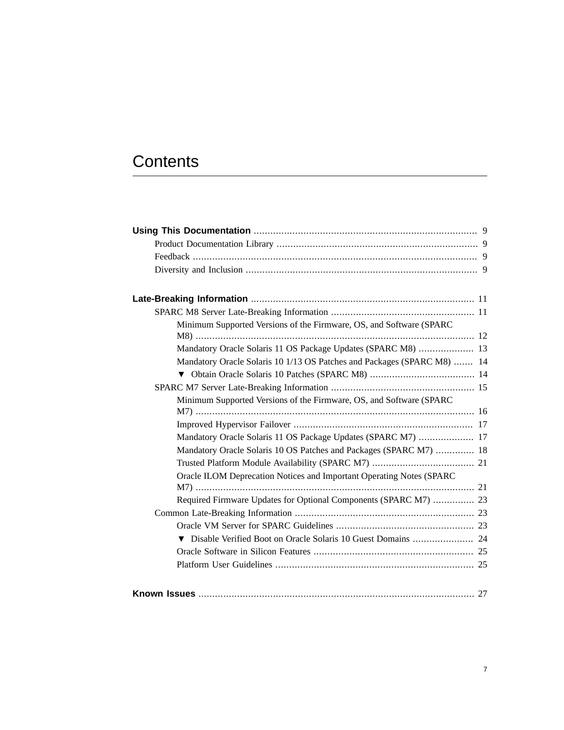# **Contents**

| Minimum Supported Versions of the Firmware, OS, and Software (SPARC     |  |
|-------------------------------------------------------------------------|--|
|                                                                         |  |
| Mandatory Oracle Solaris 11 OS Package Updates (SPARC M8)  13           |  |
| Mandatory Oracle Solaris 10 1/13 OS Patches and Packages (SPARC M8)  14 |  |
|                                                                         |  |
|                                                                         |  |
| Minimum Supported Versions of the Firmware, OS, and Software (SPARC     |  |
|                                                                         |  |
|                                                                         |  |
| Mandatory Oracle Solaris 11 OS Package Updates (SPARC M7)  17           |  |
| Mandatory Oracle Solaris 10 OS Patches and Packages (SPARC M7)  18      |  |
|                                                                         |  |
| Oracle ILOM Deprecation Notices and Important Operating Notes (SPARC    |  |
|                                                                         |  |
| Required Firmware Updates for Optional Components (SPARC M7)  23        |  |
|                                                                         |  |
|                                                                         |  |
| Disable Verified Boot on Oracle Solaris 10 Guest Domains  24            |  |
|                                                                         |  |
|                                                                         |  |
|                                                                         |  |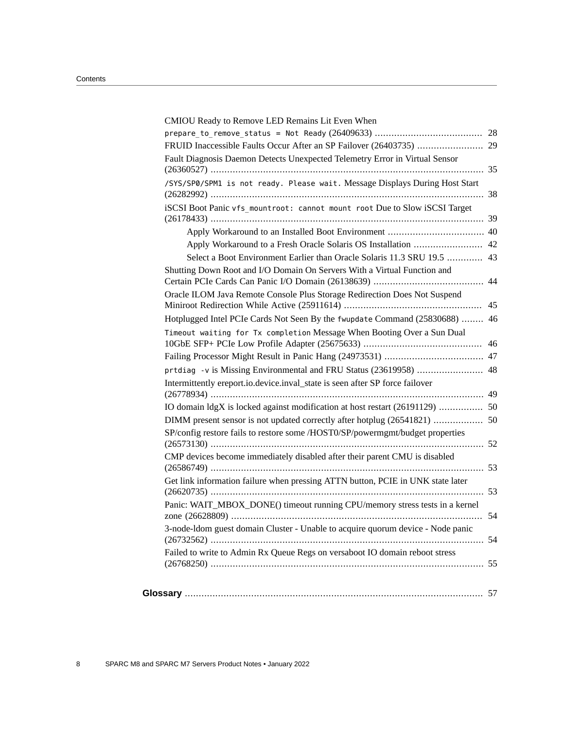| CMIOU Ready to Remove LED Remains Lit Even When                                                                                                            |  |
|------------------------------------------------------------------------------------------------------------------------------------------------------------|--|
|                                                                                                                                                            |  |
| FRUID Inaccessible Faults Occur After an SP Failover (26403735)  29                                                                                        |  |
| Fault Diagnosis Daemon Detects Unexpected Telemetry Error in Virtual Sensor                                                                                |  |
| /SYS/SP0/SPM1 is not ready. Please wait. Message Displays During Host Start                                                                                |  |
| iSCSI Boot Panic vfs mountroot: cannot mount root Due to Slow iSCSI Target                                                                                 |  |
|                                                                                                                                                            |  |
| Apply Workaround to a Fresh Oracle Solaris OS Installation  42                                                                                             |  |
| Select a Boot Environment Earlier than Oracle Solaris 11.3 SRU 19.5  43                                                                                    |  |
| Shutting Down Root and I/O Domain On Servers With a Virtual Function and                                                                                   |  |
| Oracle ILOM Java Remote Console Plus Storage Redirection Does Not Suspend                                                                                  |  |
| Hotplugged Intel PCIe Cards Not Seen By the fwupdate Command (25830688)  46                                                                                |  |
| Timeout waiting for Tx completion Message When Booting Over a Sun Dual                                                                                     |  |
|                                                                                                                                                            |  |
| prtdiag -v is Missing Environmental and FRU Status (23619958)  48                                                                                          |  |
| Intermittently ereport.io.device.inval_state is seen after SP force failover                                                                               |  |
| IO domain ldgX is locked against modification at host restart (26191129)  50                                                                               |  |
| DIMM present sensor is not updated correctly after hotplug (26541821)  50<br>SP/config restore fails to restore some /HOST0/SP/powermgmt/budget properties |  |
| CMP devices become immediately disabled after their parent CMU is disabled                                                                                 |  |
|                                                                                                                                                            |  |
| Get link information failure when pressing ATTN button, PCIE in UNK state later                                                                            |  |
| Panic: WAIT_MBOX_DONE() timeout running CPU/memory stress tests in a kernel                                                                                |  |
| 3-node-Idom guest domain Cluster - Unable to acquire quorum device - Node panic                                                                            |  |
| Failed to write to Admin Rx Queue Regs on versaboot IO domain reboot stress                                                                                |  |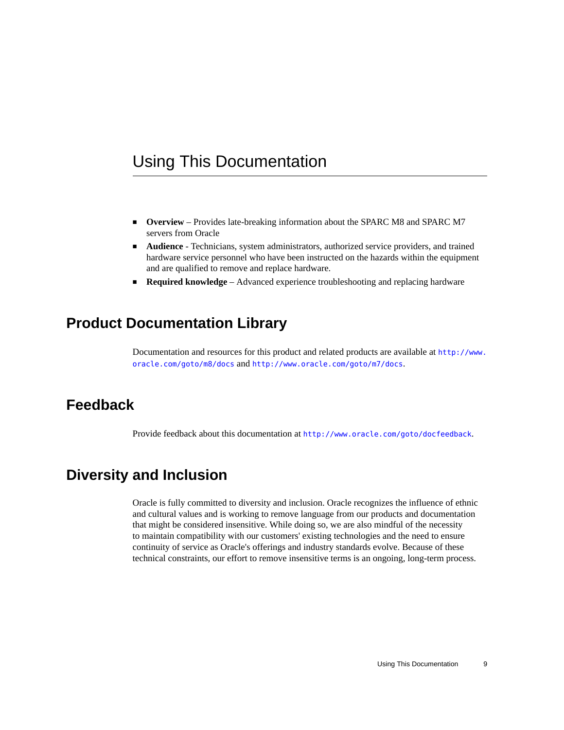## <span id="page-8-0"></span>Using This Documentation

- **Overview** Provides late-breaking information about the SPARC M8 and SPARC M7 servers from Oracle
- **Audience** Technicians, system administrators, authorized service providers, and trained hardware service personnel who have been instructed on the hazards within the equipment and are qualified to remove and replace hardware.
- **Required knowledge** Advanced experience troubleshooting and replacing hardware

## <span id="page-8-1"></span>**Product Documentation Library**

Documentation and resources for this product and related products are available at [http://www.](http://www.oracle.com/goto/m8/docs) [oracle.com/goto/m8/docs](http://www.oracle.com/goto/m8/docs) and <http://www.oracle.com/goto/m7/docs>.

#### <span id="page-8-2"></span>**Feedback**

Provide feedback about this documentation at <http://www.oracle.com/goto/docfeedback>.

## <span id="page-8-3"></span>**Diversity and Inclusion**

Oracle is fully committed to diversity and inclusion. Oracle recognizes the influence of ethnic and cultural values and is working to remove language from our products and documentation that might be considered insensitive. While doing so, we are also mindful of the necessity to maintain compatibility with our customers' existing technologies and the need to ensure continuity of service as Oracle's offerings and industry standards evolve. Because of these technical constraints, our effort to remove insensitive terms is an ongoing, long-term process.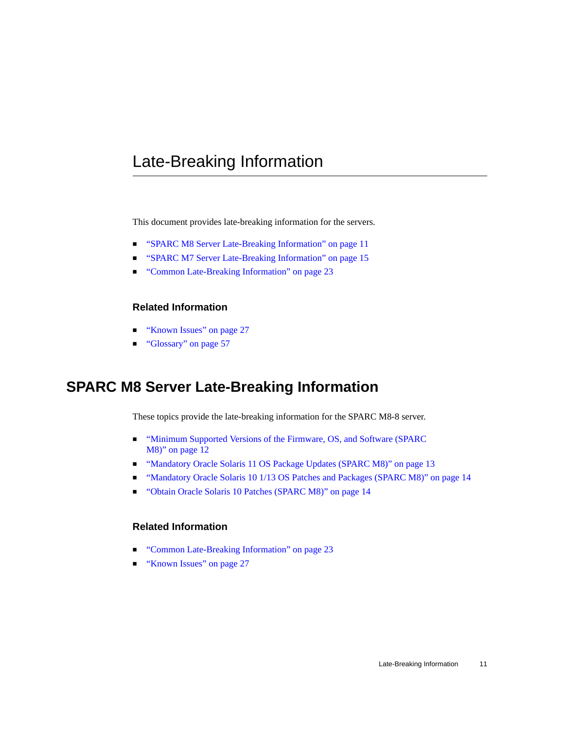## <span id="page-10-0"></span>Late-Breaking Information

This document provides late-breaking information for the servers.

- ["SPARC M8 Server Late-Breaking Information" on page 11](#page-10-1)
- ["SPARC M7 Server Late-Breaking Information" on page 15](#page-14-0)
- ["Common Late-Breaking Information" on page 23](#page-22-1)

#### **Related Information**

- ["Known Issues" on page 27](#page-26-0)
- ["Glossary" on page 57](#page-56-0)

#### <span id="page-10-1"></span>**SPARC M8 Server Late-Breaking Information**

These topics provide the late-breaking information for the SPARC M8-8 server.

- ["Minimum Supported Versions of the Firmware, OS, and Software \(SPARC](#page-11-0) [M8\)" on page 12](#page-11-0)
- ["Mandatory Oracle Solaris 11 OS Package Updates \(SPARC M8\)" on page 13](#page-12-0)
- ["Mandatory Oracle Solaris 10 1/13 OS Patches and Packages \(SPARC M8\)" on page 14](#page-13-0)
- ["Obtain Oracle Solaris 10 Patches \(SPARC M8\)" on page 14](#page-13-1)

#### **Related Information**

- ["Common Late-Breaking Information" on page 23](#page-22-1)
- ["Known Issues" on page 27](#page-26-0)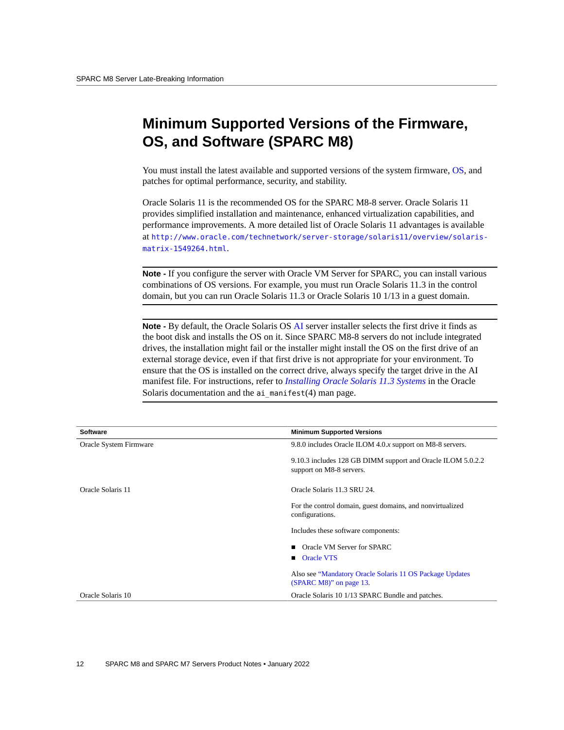## <span id="page-11-0"></span>**Minimum Supported Versions of the Firmware, OS, and Software (SPARC M8)**

You must install the latest available and supported versions of the system firmware, [OS,](#page-59-0) and patches for optimal performance, security, and stability.

Oracle Solaris 11 is the recommended OS for the SPARC M8-8 server. Oracle Solaris 11 provides simplified installation and maintenance, enhanced virtualization capabilities, and performance improvements. A more detailed list of Oracle Solaris 11 advantages is available at [http://www.oracle.com/technetwork/server-storage/solaris11/overview/solaris](http://www.oracle.com/technetwork/server-storage/solaris11/overview/solaris-matrix-1549264.html)[matrix-1549264.html](http://www.oracle.com/technetwork/server-storage/solaris11/overview/solaris-matrix-1549264.html).

**Note -** If you configure the server with Oracle VM Server for SPARC, you can install various combinations of OS versions. For example, you must run Oracle Solaris 11.3 in the control domain, but you can run Oracle Solaris 11.3 or Oracle Solaris 10 1/13 in a guest domain.

**Note -** By default, the Oracle Solaris OS [AI](#page-56-1) server installer selects the first drive it finds as the boot disk and installs the OS on it. Since SPARC M8-8 servers do not include integrated drives, the installation might fail or the installer might install the OS on the first drive of an external storage device, even if that first drive is not appropriate for your environment. To ensure that the OS is installed on the correct drive, always specify the target drive in the AI manifest file. For instructions, refer to *[Installing Oracle Solaris 11.3 Systems](http://www.oracle.com/pls/topic/lookup?ctx=E53394-01&id=IOSUI)* in the Oracle Solaris documentation and the  $a$ i manifest(4) man page.

| Software               | <b>Minimum Supported Versions</b>                                                       |
|------------------------|-----------------------------------------------------------------------------------------|
| Oracle System Firmware | 9.8.0 includes Oracle ILOM 4.0.x support on M8-8 servers.                               |
|                        | 9.10.3 includes 128 GB DIMM support and Oracle ILOM 5.0.2.2<br>support on M8-8 servers. |
| Oracle Solaris 11      | Oracle Solaris 11.3 SRU 24.                                                             |
|                        | For the control domain, guest domains, and nonvirtualized<br>configurations.            |
|                        | Includes these software components:                                                     |
|                        | Oracle VM Server for SPARC<br><b>Demondent Department</b> Oracle VTS                    |
|                        | Also see "Mandatory Oracle Solaris 11 OS Package Updates<br>(SPARC M8)" on page 13.     |
| Oracle Solaris 10      | Oracle Solaris 10 1/13 SPARC Bundle and patches.                                        |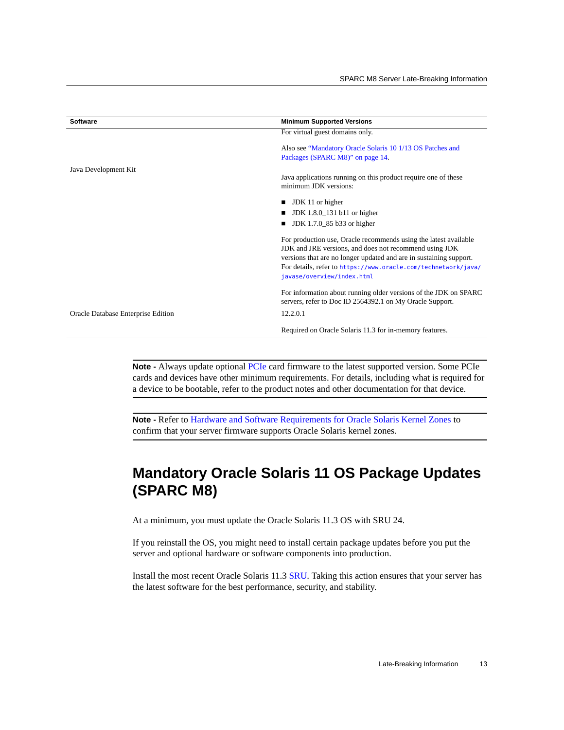| <b>Software</b>                    | <b>Minimum Supported Versions</b>                                                                                                                                                                                                                                                                |
|------------------------------------|--------------------------------------------------------------------------------------------------------------------------------------------------------------------------------------------------------------------------------------------------------------------------------------------------|
|                                    | For virtual guest domains only.                                                                                                                                                                                                                                                                  |
|                                    | Also see "Mandatory Oracle Solaris 10 1/13 OS Patches and<br>Packages (SPARC M8)" on page 14.                                                                                                                                                                                                    |
| Java Development Kit               | Java applications running on this product require one of these<br>minimum JDK versions:                                                                                                                                                                                                          |
|                                    | JDK 11 or higher                                                                                                                                                                                                                                                                                 |
|                                    | JDK 1.8.0_131 b11 or higher<br>▬                                                                                                                                                                                                                                                                 |
|                                    | JDK 1.7.0_85 b33 or higher                                                                                                                                                                                                                                                                       |
|                                    | For production use, Oracle recommends using the latest available<br>JDK and JRE versions, and does not recommend using JDK<br>versions that are no longer updated and are in sustaining support.<br>For details, refer to https://www.oracle.com/technetwork/java/<br>javase/overview/index.html |
|                                    | For information about running older versions of the JDK on SPARC<br>servers, refer to Doc ID 2564392.1 on My Oracle Support.                                                                                                                                                                     |
| Oracle Database Enterprise Edition | 12.2.0.1                                                                                                                                                                                                                                                                                         |
|                                    | Required on Oracle Solaris 11.3 for in-memory features.                                                                                                                                                                                                                                          |

**Note -** Always update optional [PCIe](#page-59-2) card firmware to the latest supported version. Some PCIe cards and devices have other minimum requirements. For details, including what is required for a device to be bootable, refer to the product notes and other documentation for that device.

**Note -** Refer to [Hardware and Software Requirements for Oracle Solaris Kernel Zones](http://docs.oracle.com/cd/E53394_01/html/E54751/gnwoi.html#scrolltoc) to confirm that your server firmware supports Oracle Solaris kernel zones.

## <span id="page-12-0"></span>**Mandatory Oracle Solaris 11 OS Package Updates (SPARC M8)**

At a minimum, you must update the Oracle Solaris 11.3 OS with SRU 24.

If you reinstall the OS, you might need to install certain package updates before you put the server and optional hardware or software components into production.

Install the most recent Oracle Solaris 11.3 [SRU](#page-60-0). Taking this action ensures that your server has the latest software for the best performance, security, and stability.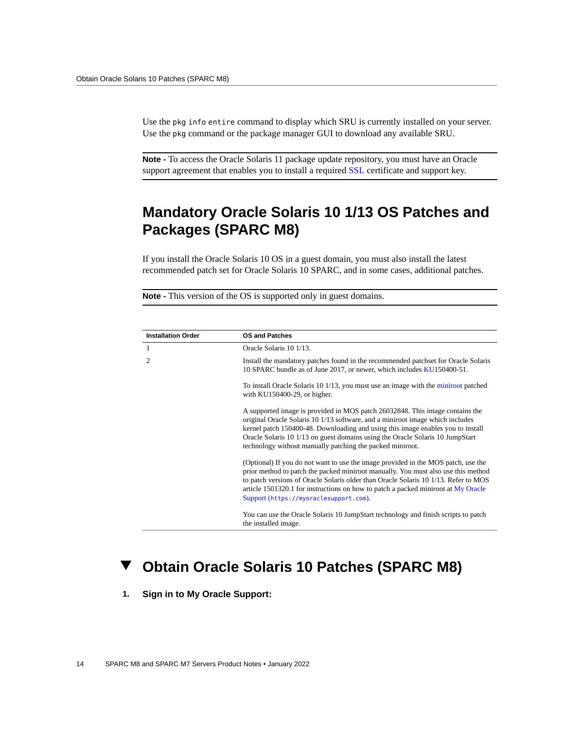Use the pkg info entire command to display which SRU is currently installed on your server. Use the pkg command or the package manager GUI to download any available SRU.

**Note -** To access the Oracle Solaris 11 package update repository, you must have an Oracle support agreement that enables you to install a required [SSL](#page-61-0) certificate and support key.

## <span id="page-13-0"></span>**Mandatory Oracle Solaris 10 1/13 OS Patches and Packages (SPARC M8)**

If you install the Oracle Solaris 10 OS in a guest domain, you must also install the latest recommended patch set for Oracle Solaris 10 SPARC, and in some cases, additional patches.

**Note -** This version of the OS is supported only in guest domains.

| <b>Installation Order</b> | <b>OS and Patches</b>                                                                                                                                                                                                                                                                                                                                                                          |
|---------------------------|------------------------------------------------------------------------------------------------------------------------------------------------------------------------------------------------------------------------------------------------------------------------------------------------------------------------------------------------------------------------------------------------|
| 1                         | Oracle Solaris 10 1/13.                                                                                                                                                                                                                                                                                                                                                                        |
| 2                         | Install the mandatory patches found in the recommended patchset for Oracle Solaris<br>10 SPARC bundle as of June 2017, or newer, which includes KU150400-51.                                                                                                                                                                                                                                   |
|                           | To install Oracle Solaris 10 1/13, you must use an image with the miniroot patched<br>with KU150400-29, or higher.                                                                                                                                                                                                                                                                             |
|                           | A supported image is provided in MOS patch 26032848. This image contains the<br>original Oracle Solaris 10 1/13 software, and a miniroot image which includes<br>kernel patch 150400-48. Downloading and using this image enables you to install<br>Oracle Solaris 10 1/13 on guest domains using the Oracle Solaris 10 JumpStart<br>technology without manually patching the packed miniroot. |
|                           | (Optional) If you do not want to use the image provided in the MOS patch, use the<br>prior method to patch the packed miniroot manually. You must also use this method<br>to patch versions of Oracle Solaris older than Oracle Solaris 10 1/13. Refer to MOS<br>article 1501320.1 for instructions on how to patch a packed miniroot at My Oracle<br>Support (https://myoraclesupport.com).   |
|                           | You can use the Oracle Solaris 10 JumpStart technology and finish scripts to patch<br>the installed image.                                                                                                                                                                                                                                                                                     |

#### <span id="page-13-1"></span>**Obtain Oracle Solaris 10 Patches (SPARC M8)**

**1. Sign in to My Oracle Support:**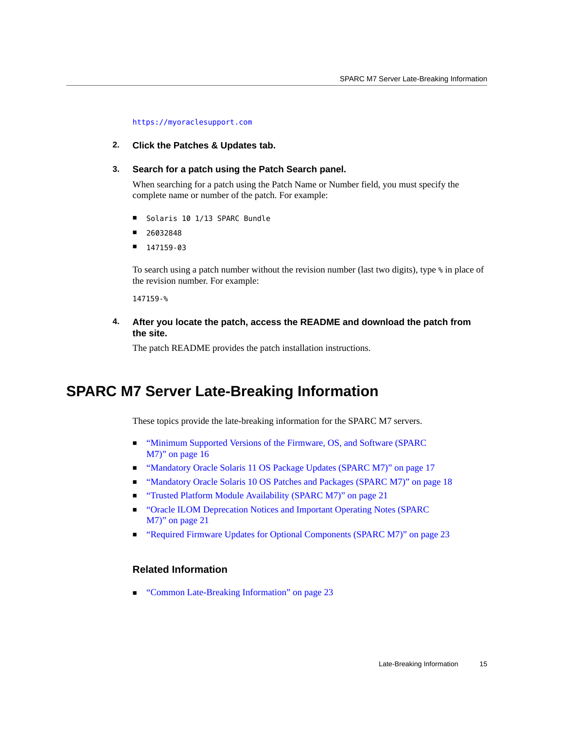<https://myoraclesupport.com>

**2. Click the Patches & Updates tab.**

#### **3. Search for a patch using the Patch Search panel.**

When searching for a patch using the Patch Name or Number field, you must specify the complete name or number of the patch. For example:

- Solaris 10 1/13 SPARC Bundle
- 26032848
- 147159-03

To search using a patch number without the revision number (last two digits), type % in place of the revision number. For example:

147159-%

#### **4. After you locate the patch, access the README and download the patch from the site.**

The patch README provides the patch installation instructions.

#### <span id="page-14-0"></span>**SPARC M7 Server Late-Breaking Information**

These topics provide the late-breaking information for the SPARC M7 servers.

- ["Minimum Supported Versions of the Firmware, OS, and Software \(SPARC](#page-15-0) [M7\)" on page 16](#page-15-0)
- ["Mandatory Oracle Solaris 11 OS Package Updates \(SPARC M7\)" on page 17](#page-16-1)
- ["Mandatory Oracle Solaris 10 OS Patches and Packages \(SPARC M7\)" on page 18](#page-17-0)
- ["Trusted Platform Module Availability \(SPARC M7\)" on page 21](#page-20-0)
- ["Oracle ILOM Deprecation Notices and Important Operating Notes \(SPARC](#page-20-1) [M7\)" on page 21](#page-20-1)
- ["Required Firmware Updates for Optional Components \(SPARC M7\)" on page 23](#page-22-0)

#### **Related Information**

■ ["Common Late-Breaking Information" on page 23](#page-22-1)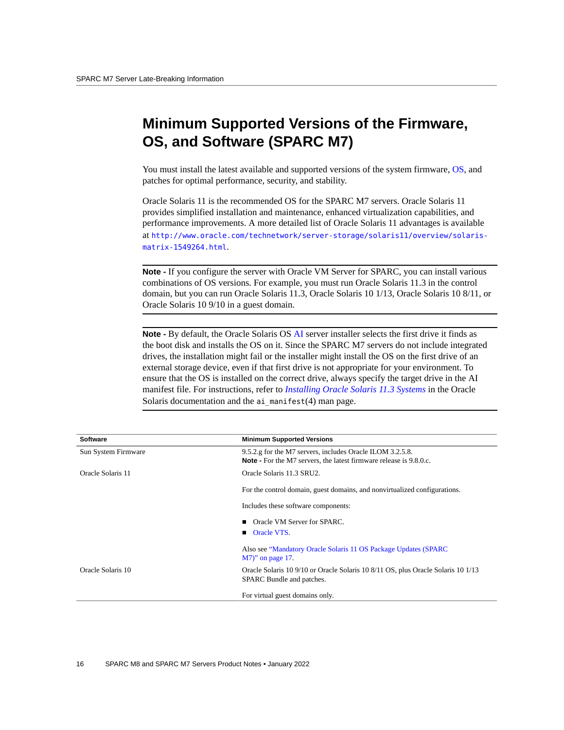## <span id="page-15-0"></span>**Minimum Supported Versions of the Firmware, OS, and Software (SPARC M7)**

You must install the latest available and supported versions of the system firmware, [OS,](#page-59-0) and patches for optimal performance, security, and stability.

Oracle Solaris 11 is the recommended OS for the SPARC M7 servers. Oracle Solaris 11 provides simplified installation and maintenance, enhanced virtualization capabilities, and performance improvements. A more detailed list of Oracle Solaris 11 advantages is available at [http://www.oracle.com/technetwork/server-storage/solaris11/overview/solaris](http://www.oracle.com/technetwork/server-storage/solaris11/overview/solaris-matrix-1549264.html)[matrix-1549264.html](http://www.oracle.com/technetwork/server-storage/solaris11/overview/solaris-matrix-1549264.html).

**Note -** If you configure the server with Oracle VM Server for SPARC, you can install various combinations of OS versions. For example, you must run Oracle Solaris 11.3 in the control domain, but you can run Oracle Solaris 11.3, Oracle Solaris 10 1/13, Oracle Solaris 10 8/11, or Oracle Solaris 10 9/10 in a guest domain.

**Note -** By default, the Oracle Solaris OS [AI](#page-56-1) server installer selects the first drive it finds as the boot disk and installs the OS on it. Since the SPARC M7 servers do not include integrated drives, the installation might fail or the installer might install the OS on the first drive of an external storage device, even if that first drive is not appropriate for your environment. To ensure that the OS is installed on the correct drive, always specify the target drive in the AI manifest file. For instructions, refer to *[Installing Oracle Solaris 11.3 Systems](http://www.oracle.com/pls/topic/lookup?ctx=E53394-01&id=IOSUI)* in the Oracle Solaris documentation and the  $a$ i manifest(4) man page.

| Software            | <b>Minimum Supported Versions</b>                                                                                               |
|---------------------|---------------------------------------------------------------------------------------------------------------------------------|
| Sun System Firmware | 9.5.2.g for the M7 servers, includes Oracle ILOM 3.2.5.8.<br>Note - For the M7 servers, the latest firmware release is 9.8.0.c. |
| Oracle Solaris 11   | Oracle Solaris 11.3 SRU2.                                                                                                       |
|                     | For the control domain, guest domains, and nonvirtualized configurations.                                                       |
|                     | Includes these software components:                                                                                             |
|                     | ■ Oracle VM Server for SPARC.                                                                                                   |
|                     | <b>Oracle VTS.</b>                                                                                                              |
|                     | Also see "Mandatory Oracle Solaris 11 OS Package Updates (SPARC)<br>$M7$ " on page 17.                                          |
| Oracle Solaris 10   | Oracle Solaris 10 9/10 or Oracle Solaris 10 8/11 OS, plus Oracle Solaris 10 1/13<br>SPARC Bundle and patches.                   |
|                     | For virtual guest domains only.                                                                                                 |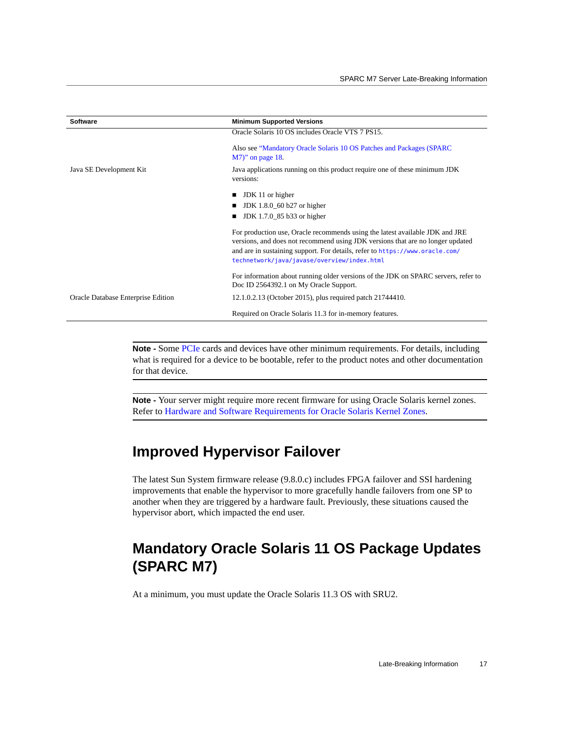| <b>Software</b>                    | <b>Minimum Supported Versions</b>                                                                                                                                                                                                                                                             |
|------------------------------------|-----------------------------------------------------------------------------------------------------------------------------------------------------------------------------------------------------------------------------------------------------------------------------------------------|
|                                    | Oracle Solaris 10 OS includes Oracle VTS 7 PS15.                                                                                                                                                                                                                                              |
|                                    | Also see "Mandatory Oracle Solaris 10 OS Patches and Packages (SPARC)<br>M7)" on page 18.                                                                                                                                                                                                     |
| Java SE Development Kit            | Java applications running on this product require one of these minimum JDK<br>versions:                                                                                                                                                                                                       |
|                                    | JDK 11 or higher                                                                                                                                                                                                                                                                              |
|                                    | JDK 1.8.0_60 b27 or higher                                                                                                                                                                                                                                                                    |
|                                    | JDK 1.7.0_85 b33 or higher                                                                                                                                                                                                                                                                    |
|                                    | For production use, Oracle recommends using the latest available JDK and JRE<br>versions, and does not recommend using JDK versions that are no longer updated<br>and are in sustaining support. For details, refer to https://www.oracle.com/<br>technetwork/java/javase/overview/index.html |
|                                    | For information about running older versions of the JDK on SPARC servers, refer to<br>Doc ID 2564392.1 on My Oracle Support.                                                                                                                                                                  |
| Oracle Database Enterprise Edition | 12.1.0.2.13 (October 2015), plus required patch 21744410.                                                                                                                                                                                                                                     |
|                                    | Required on Oracle Solaris 11.3 for in-memory features.                                                                                                                                                                                                                                       |

**Note -** Some [PCIe](#page-59-2) cards and devices have other minimum requirements. For details, including what is required for a device to be bootable, refer to the product notes and other documentation for that device.

**Note -** Your server might require more recent firmware for using Oracle Solaris kernel zones. Refer to [Hardware and Software Requirements for Oracle Solaris Kernel Zones.](http://docs.oracle.com/cd/E53394_01/html/E54751/gnwoi.html#scrolltoc)

## <span id="page-16-0"></span>**Improved Hypervisor Failover**

The latest Sun System firmware release (9.8.0.c) includes FPGA failover and SSI hardening improvements that enable the hypervisor to more gracefully handle failovers from one SP to another when they are triggered by a hardware fault. Previously, these situations caused the hypervisor abort, which impacted the end user.

## <span id="page-16-1"></span>**Mandatory Oracle Solaris 11 OS Package Updates (SPARC M7)**

At a minimum, you must update the Oracle Solaris 11.3 OS with SRU2.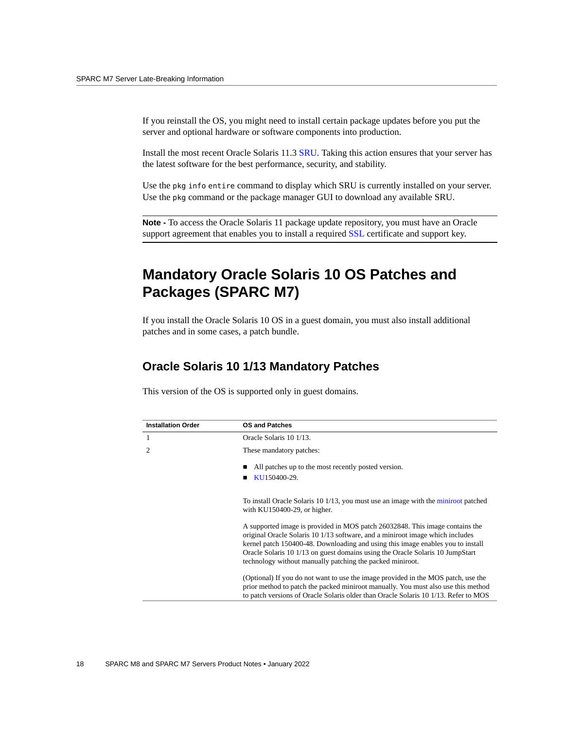If you reinstall the OS, you might need to install certain package updates before you put the server and optional hardware or software components into production.

Install the most recent Oracle Solaris 11.3 [SRU](#page-60-0). Taking this action ensures that your server has the latest software for the best performance, security, and stability.

Use the pkg info entire command to display which SRU is currently installed on your server. Use the pkg command or the package manager GUI to download any available SRU.

**Note -** To access the Oracle Solaris 11 package update repository, you must have an Oracle support agreement that enables you to install a required [SSL](#page-61-0) certificate and support key.

## <span id="page-17-0"></span>**Mandatory Oracle Solaris 10 OS Patches and Packages (SPARC M7)**

If you install the Oracle Solaris 10 OS in a guest domain, you must also install additional patches and in some cases, a patch bundle.

#### **Oracle Solaris 10 1/13 Mandatory Patches**

| This version of the OS is supported only in guest domains. |
|------------------------------------------------------------|
|------------------------------------------------------------|

| <b>Installation Order</b> | <b>OS and Patches</b>                                                                                                                                                                                                                                                                                                                                                                          |
|---------------------------|------------------------------------------------------------------------------------------------------------------------------------------------------------------------------------------------------------------------------------------------------------------------------------------------------------------------------------------------------------------------------------------------|
| $\mathbf{1}$              | Oracle Solaris 10 1/13.                                                                                                                                                                                                                                                                                                                                                                        |
| 2                         | These mandatory patches:                                                                                                                                                                                                                                                                                                                                                                       |
|                           | All patches up to the most recently posted version.<br>KU150400-29.                                                                                                                                                                                                                                                                                                                            |
|                           | To install Oracle Solaris 10 1/13, you must use an image with the miniroot patched<br>with KU150400-29, or higher.                                                                                                                                                                                                                                                                             |
|                           | A supported image is provided in MOS patch 26032848. This image contains the<br>original Oracle Solaris 10 1/13 software, and a miniroot image which includes<br>kernel patch 150400-48. Downloading and using this image enables you to install<br>Oracle Solaris 10 1/13 on guest domains using the Oracle Solaris 10 JumpStart<br>technology without manually patching the packed miniroot. |
|                           | (Optional) If you do not want to use the image provided in the MOS patch, use the<br>prior method to patch the packed miniroot manually. You must also use this method<br>to patch versions of Oracle Solaris older than Oracle Solaris 10 1/13. Refer to MOS                                                                                                                                  |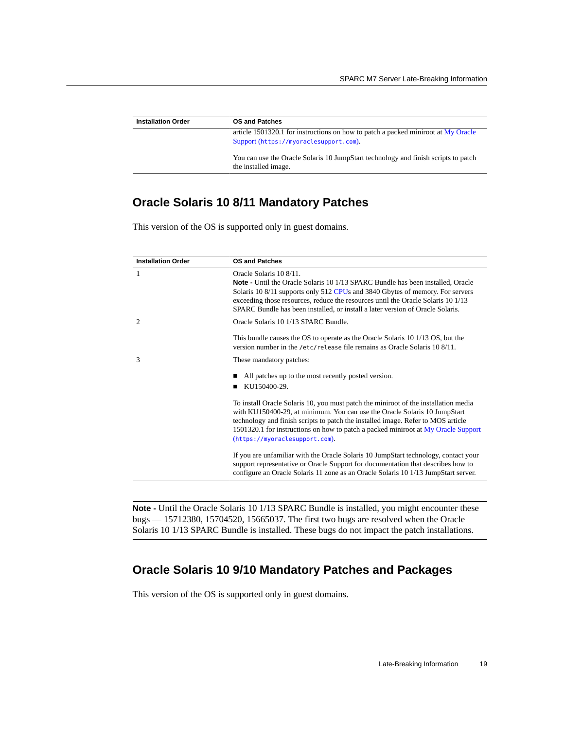| <b>Installation Order</b> | <b>OS and Patches</b>                                                                                      |
|---------------------------|------------------------------------------------------------------------------------------------------------|
|                           | article 1501320.1 for instructions on how to patch a packed miniroot at My Oracle                          |
|                           | Support (https://myoraclesupport.com).                                                                     |
|                           | You can use the Oracle Solaris 10 JumpStart technology and finish scripts to patch<br>the installed image. |

#### **Oracle Solaris 10 8/11 Mandatory Patches**

This version of the OS is supported only in guest domains.

| <b>Installation Order</b> | <b>OS and Patches</b>                                                                                                                                                                                                                                                                                                                                                       |
|---------------------------|-----------------------------------------------------------------------------------------------------------------------------------------------------------------------------------------------------------------------------------------------------------------------------------------------------------------------------------------------------------------------------|
| 1                         | Oracle Solaris 10 8/11.<br><b>Note -</b> Until the Oracle Solaris 10 1/13 SPARC Bundle has been installed, Oracle<br>Solaris 10 8/11 supports only 512 CPUs and 3840 Gbytes of memory. For servers<br>exceeding those resources, reduce the resources until the Oracle Solaris 10 1/13<br>SPARC Bundle has been installed, or install a later version of Oracle Solaris.    |
| 2                         | Oracle Solaris 10 1/13 SPARC Bundle.                                                                                                                                                                                                                                                                                                                                        |
|                           | This bundle causes the OS to operate as the Oracle Solaris 10 1/13 OS, but the<br>version number in the /etc/release file remains as Oracle Solaris 10 8/11.                                                                                                                                                                                                                |
| 3                         | These mandatory patches:                                                                                                                                                                                                                                                                                                                                                    |
|                           | All patches up to the most recently posted version.<br>KU150400-29.                                                                                                                                                                                                                                                                                                         |
|                           | To install Oracle Solaris 10, you must patch the miniroot of the installation media<br>with KU150400-29, at minimum. You can use the Oracle Solaris 10 JumpStart<br>technology and finish scripts to patch the installed image. Refer to MOS article<br>1501320.1 for instructions on how to patch a packed miniroot at My Oracle Support<br>(https://myoraclesupport.com). |
|                           | If you are unfamiliar with the Oracle Solaris 10 JumpStart technology, contact your<br>support representative or Oracle Support for documentation that describes how to<br>configure an Oracle Solaris 11 zone as an Oracle Solaris 10 1/13 JumpStart server.                                                                                                               |
|                           |                                                                                                                                                                                                                                                                                                                                                                             |

**Note -** Until the Oracle Solaris 10 1/13 SPARC Bundle is installed, you might encounter these bugs — 15712380, 15704520, 15665037. The first two bugs are resolved when the Oracle Solaris 10 1/13 SPARC Bundle is installed. These bugs do not impact the patch installations.

#### **Oracle Solaris 10 9/10 Mandatory Patches and Packages**

This version of the OS is supported only in guest domains.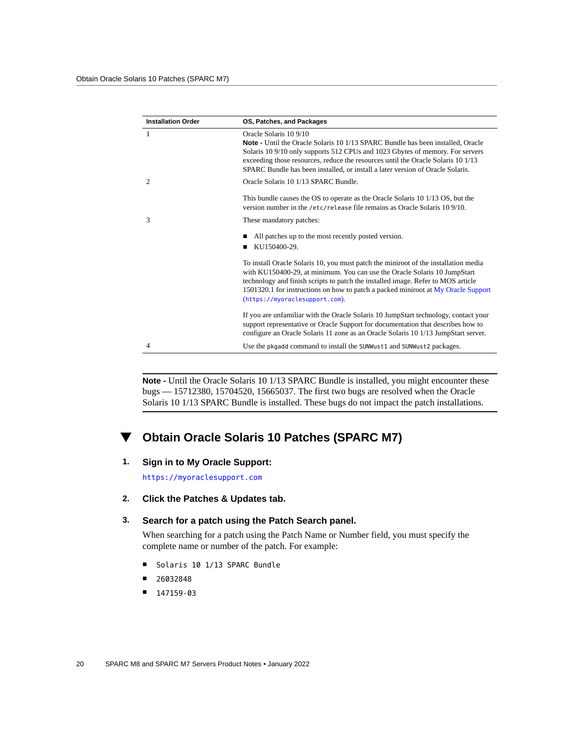| <b>Installation Order</b> | OS, Patches, and Packages                                                                                                                                                                                                                                                                                                                                                   |
|---------------------------|-----------------------------------------------------------------------------------------------------------------------------------------------------------------------------------------------------------------------------------------------------------------------------------------------------------------------------------------------------------------------------|
| $\mathbf{1}$              | Oracle Solaris 10 9/10<br><b>Note -</b> Until the Oracle Solaris 10 1/13 SPARC Bundle has been installed, Oracle<br>Solaris 10 9/10 only supports 512 CPUs and 1023 Gbytes of memory. For servers<br>exceeding those resources, reduce the resources until the Oracle Solaris 10 1/13<br>SPARC Bundle has been installed, or install a later version of Oracle Solaris.     |
| 2                         | Oracle Solaris 10 1/13 SPARC Bundle.                                                                                                                                                                                                                                                                                                                                        |
|                           | This bundle causes the OS to operate as the Oracle Solaris 10 1/13 OS, but the<br>version number in the /etc/release file remains as Oracle Solaris 10 9/10.                                                                                                                                                                                                                |
| 3                         | These mandatory patches:                                                                                                                                                                                                                                                                                                                                                    |
|                           | All patches up to the most recently posted version.<br>KU150400-29.                                                                                                                                                                                                                                                                                                         |
|                           | To install Oracle Solaris 10, you must patch the miniroot of the installation media<br>with KU150400-29, at minimum. You can use the Oracle Solaris 10 JumpStart<br>technology and finish scripts to patch the installed image. Refer to MOS article<br>1501320.1 for instructions on how to patch a packed miniroot at My Oracle Support<br>(https://myoraclesupport.com). |
|                           | If you are unfamiliar with the Oracle Solaris 10 JumpStart technology, contact your<br>support representative or Oracle Support for documentation that describes how to<br>configure an Oracle Solaris 11 zone as an Oracle Solaris 10 1/13 JumpStart server.                                                                                                               |
| 4                         | Use the pkgadd command to install the SUNWust1 and SUNWust2 packages.                                                                                                                                                                                                                                                                                                       |

Note - Until the Oracle Solaris 10 1/13 SPARC Bundle is installed, you might encounter these bugs — 15712380, 15704520, 15665037. The first two bugs are resolved when the Oracle Solaris 10 1/13 SPARC Bundle is installed. These bugs do not impact the patch installations.

#### **Obtain Oracle Solaris 10 Patches (SPARC M7)**  $\blacktriangledown$

#### **1. Sign in to My Oracle Support:**

<https://myoraclesupport.com>

**2. Click the Patches & Updates tab.**

#### **3. Search for a patch using the Patch Search panel.**

When searching for a patch using the Patch Name or Number field, you must specify the complete name or number of the patch. For example:

- Solaris 10 1/13 SPARC Bundle
- 26032848
- 147159-03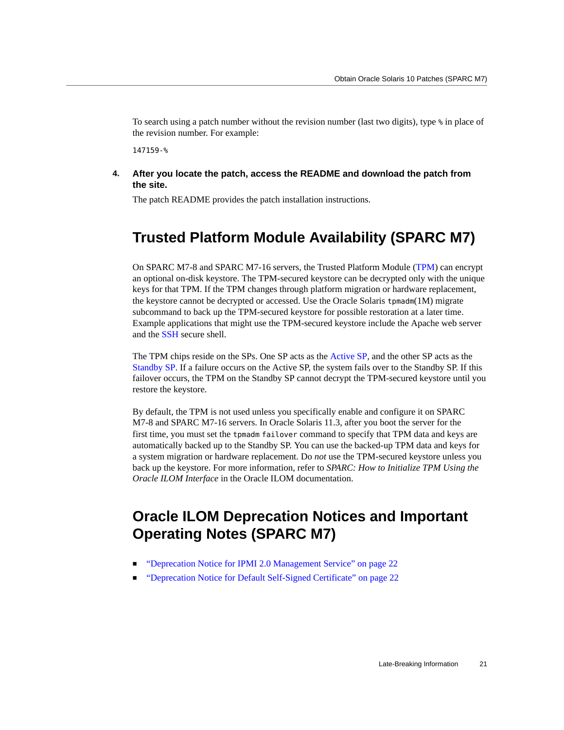To search using a patch number without the revision number (last two digits), type % in place of the revision number. For example:

147159-%

**4. After you locate the patch, access the README and download the patch from the site.**

The patch README provides the patch installation instructions.

#### <span id="page-20-0"></span>**Trusted Platform Module Availability (SPARC M7)**

On SPARC M7-8 and SPARC M7-16 servers, the Trusted Platform Module ([TPM](#page-61-1)) can encrypt an optional on-disk keystore. The TPM-secured keystore can be decrypted only with the unique keys for that TPM. If the TPM changes through platform migration or hardware replacement, the keystore cannot be decrypted or accessed. Use the Oracle Solaris tpmadm(1M) migrate subcommand to back up the TPM-secured keystore for possible restoration at a later time. Example applications that might use the TPM-secured keystore include the Apache web server and the [SSH](#page-60-1) secure shell.

The TPM chips reside on the SPs. One SP acts as the [Active SP,](#page-56-3) and the other SP acts as the [Standby SP](#page-61-2). If a failure occurs on the Active SP, the system fails over to the Standby SP. If this failover occurs, the TPM on the Standby SP cannot decrypt the TPM-secured keystore until you restore the keystore.

By default, the TPM is not used unless you specifically enable and configure it on SPARC M7-8 and SPARC M7-16 servers. In Oracle Solaris 11.3, after you boot the server for the first time, you must set the tpmadm failover command to specify that TPM data and keys are automatically backed up to the Standby SP. You can use the backed-up TPM data and keys for a system migration or hardware replacement. Do *not* use the TPM-secured keystore unless you back up the keystore. For more information, refer to *SPARC: How to Initialize TPM Using the Oracle ILOM Interface* in the Oracle ILOM documentation.

## <span id="page-20-1"></span>**Oracle ILOM Deprecation Notices and Important Operating Notes (SPARC M7)**

- ["Deprecation Notice for IPMI 2.0 Management Service" on page 22](#page-21-0)
- ["Deprecation Notice for Default Self-Signed Certificate" on page 22](#page-21-1)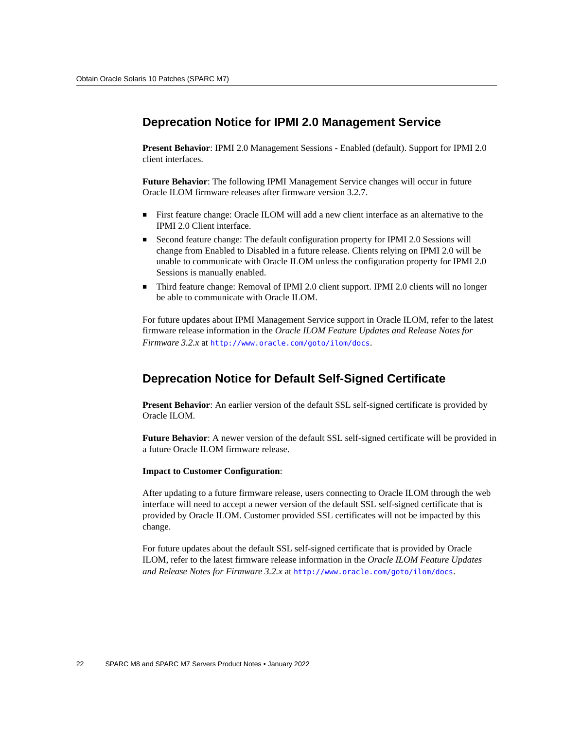#### <span id="page-21-0"></span>**Deprecation Notice for IPMI 2.0 Management Service**

**Present Behavior**: IPMI 2.0 Management Sessions - Enabled (default). Support for IPMI 2.0 client interfaces.

**Future Behavior**: The following IPMI Management Service changes will occur in future Oracle ILOM firmware releases after firmware version 3.2.7.

- First feature change: Oracle ILOM will add a new client interface as an alternative to the IPMI 2.0 Client interface.
- Second feature change: The default configuration property for IPMI 2.0 Sessions will change from Enabled to Disabled in a future release. Clients relying on IPMI 2.0 will be unable to communicate with Oracle ILOM unless the configuration property for IPMI 2.0 Sessions is manually enabled.
- Third feature change: Removal of IPMI 2.0 client support. IPMI 2.0 clients will no longer be able to communicate with Oracle ILOM.

For future updates about IPMI Management Service support in Oracle ILOM, refer to the latest firmware release information in the *Oracle ILOM Feature Updates and Release Notes for Firmware 3.2.x* at <http://www.oracle.com/goto/ilom/docs>.

#### <span id="page-21-1"></span>**Deprecation Notice for Default Self-Signed Certificate**

**Present Behavior**: An earlier version of the default SSL self-signed certificate is provided by Oracle ILOM.

**Future Behavior**: A newer version of the default SSL self-signed certificate will be provided in a future Oracle ILOM firmware release.

#### **Impact to Customer Configuration**:

After updating to a future firmware release, users connecting to Oracle ILOM through the web interface will need to accept a newer version of the default SSL self-signed certificate that is provided by Oracle ILOM. Customer provided SSL certificates will not be impacted by this change.

For future updates about the default SSL self-signed certificate that is provided by Oracle ILOM, refer to the latest firmware release information in the *Oracle ILOM Feature Updates and Release Notes for Firmware 3.2.x* at <http://www.oracle.com/goto/ilom/docs>.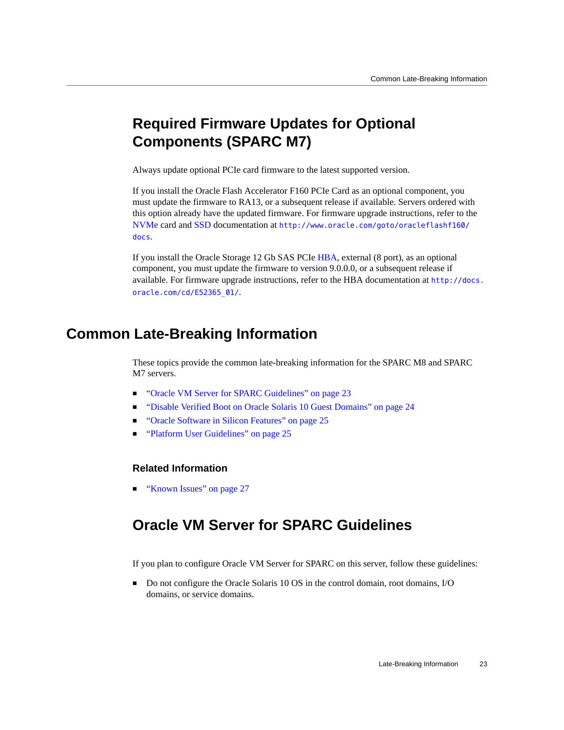## <span id="page-22-0"></span>**Required Firmware Updates for Optional Components (SPARC M7)**

Always update optional PCIe card firmware to the latest supported version.

If you install the Oracle Flash Accelerator F160 PCIe Card as an optional component, you must update the firmware to RA13, or a subsequent release if available. Servers ordered with this option already have the updated firmware. For firmware upgrade instructions, refer to the [NVMe](#page-59-3) card and [SSD](#page-60-2) documentation at [http://www.oracle.com/goto/oracleflashf160/](http://www.oracle.com/goto/oracleflashf160/docs) [docs](http://www.oracle.com/goto/oracleflashf160/docs).

If you install the Oracle Storage 12 Gb SAS PCIe [HBA](#page-57-0), external (8 port), as an optional component, you must update the firmware to version 9.0.0.0, or a subsequent release if available. For firmware upgrade instructions, refer to the HBA documentation at [http://docs.](http://docs.oracle.com/cd/E52365_01/) [oracle.com/cd/E52365\\_01/](http://docs.oracle.com/cd/E52365_01/).

### <span id="page-22-1"></span>**Common Late-Breaking Information**

These topics provide the common late-breaking information for the SPARC M8 and SPARC M7 servers.

- ["Oracle VM Server for SPARC Guidelines" on page 23](#page-22-2)
- ["Disable Verified Boot on Oracle Solaris 10 Guest Domains" on page 24](#page-23-0)
- ["Oracle Software in Silicon Features" on page 25](#page-24-0)
- ["Platform User Guidelines" on page 25](#page-24-1)

#### **Related Information**

["Known Issues" on page 27](#page-26-0)

## <span id="page-22-2"></span>**Oracle VM Server for SPARC Guidelines**

If you plan to configure Oracle VM Server for SPARC on this server, follow these guidelines:

Do not configure the Oracle Solaris 10 OS in the control domain, root domains, I/O domains, or service domains.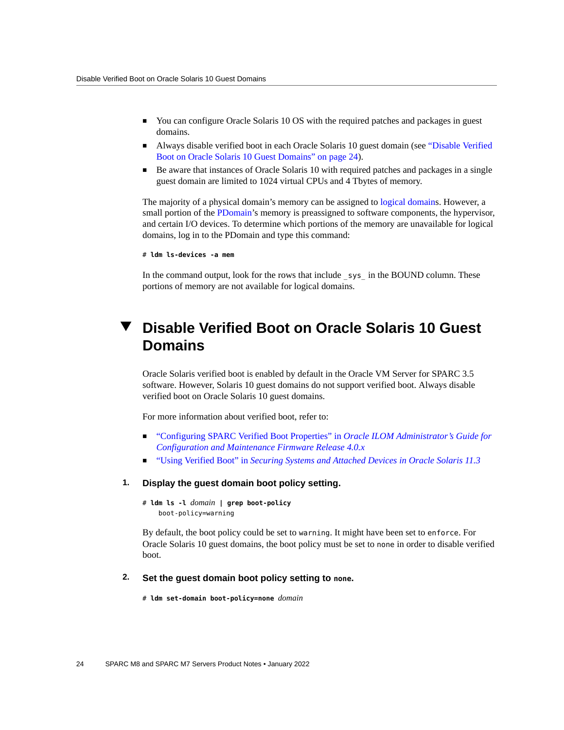- You can configure Oracle Solaris 10 OS with the required patches and packages in guest domains.
- Always disable verified boot in each Oracle Solaris 10 guest domain (see ["Disable Verified](#page-23-0) [Boot on Oracle Solaris 10 Guest Domains" on page 24\)](#page-23-0).
- Be aware that instances of Oracle Solaris 10 with required patches and packages in a single guest domain are limited to 1024 virtual CPUs and 4 Tbytes of memory.

The majority of a physical domain's memory can be assigned to [logical domains](#page-58-2). However, a small portion of the [PDomain'](#page-59-4)s memory is preassigned to software components, the hypervisor, and certain I/O devices. To determine which portions of the memory are unavailable for logical domains, log in to the PDomain and type this command:

```
# ldm ls-devices -a mem
```
In the command output, look for the rows that include sys—in the BOUND column. These portions of memory are not available for logical domains.

## <span id="page-23-0"></span>**Disable Verified Boot on Oracle Solaris 10 Guest Domains**

Oracle Solaris verified boot is enabled by default in the Oracle VM Server for SPARC 3.5 software. However, Solaris 10 guest domains do not support verified boot. Always disable verified boot on Oracle Solaris 10 guest domains.

For more information about verified boot, refer to:

- ["Configuring SPARC Verified Boot Properties" in](http://www.oracle.com/pls/topic/lookup?ctx=E81115-01&id=IILCGz40001291613819) *Oracle ILOM Administrator's Guide for [Configuration and Maintenance Firmware Release 4.0.x](http://www.oracle.com/pls/topic/lookup?ctx=E81115-01&id=IILCGz40001291613819)*
- "Using Verified Boot" in *[Securing Systems and Attached Devices in Oracle Solaris 11.3](http://www.oracle.com/pls/topic/lookup?ctx=E53394-01&id=OSSADsysauth-vb)*

#### **1. Display the guest domain boot policy setting.**

# **ldm ls -l** *domain* **| grep boot-policy** boot-policy=warning

By default, the boot policy could be set to warning. It might have been set to enforce. For Oracle Solaris 10 guest domains, the boot policy must be set to none in order to disable verified boot.

#### **2. Set the guest domain boot policy setting to none.**

# **ldm set-domain boot-policy=none** *domain*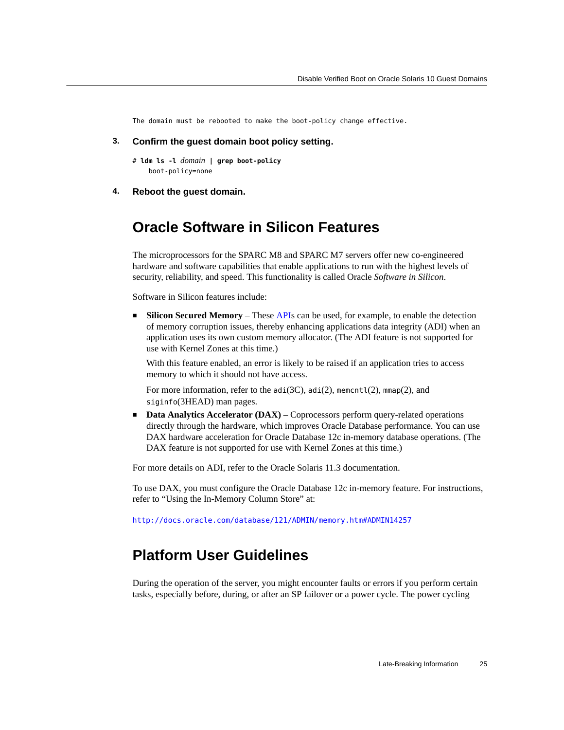The domain must be rebooted to make the boot-policy change effective.

- **3. Confirm the guest domain boot policy setting.**
	- # **ldm ls -l** *domain* **| grep boot-policy** boot-policy=none
- <span id="page-24-0"></span>**4. Reboot the guest domain.**

#### **Oracle Software in Silicon Features**

The microprocessors for the SPARC M8 and SPARC M7 servers offer new co-engineered hardware and software capabilities that enable applications to run with the highest levels of security, reliability, and speed. This functionality is called Oracle *Software in Silicon*.

Software in Silicon features include:

■ **Silicon Secured Memory** – These [API](#page-56-4)s can be used, for example, to enable the detection of memory corruption issues, thereby enhancing applications data integrity (ADI) when an application uses its own custom memory allocator. (The ADI feature is not supported for use with Kernel Zones at this time.)

With this feature enabled, an error is likely to be raised if an application tries to access memory to which it should not have access.

For more information, refer to the adi(3C), adi(2), memcntl(2), mmap(2), and siginfo(3HEAD) man pages.

■ **Data Analytics Accelerator (DAX)** – Coprocessors perform query-related operations directly through the hardware, which improves Oracle Database performance. You can use DAX hardware acceleration for Oracle Database 12c in-memory database operations. (The DAX feature is not supported for use with Kernel Zones at this time.)

For more details on ADI, refer to the Oracle Solaris 11.3 documentation.

To use DAX, you must configure the Oracle Database 12c in-memory feature. For instructions, refer to "Using the In-Memory Column Store" at:

<http://docs.oracle.com/database/121/ADMIN/memory.htm#ADMIN14257>

#### <span id="page-24-1"></span>**Platform User Guidelines**

During the operation of the server, you might encounter faults or errors if you perform certain tasks, especially before, during, or after an SP failover or a power cycle. The power cycling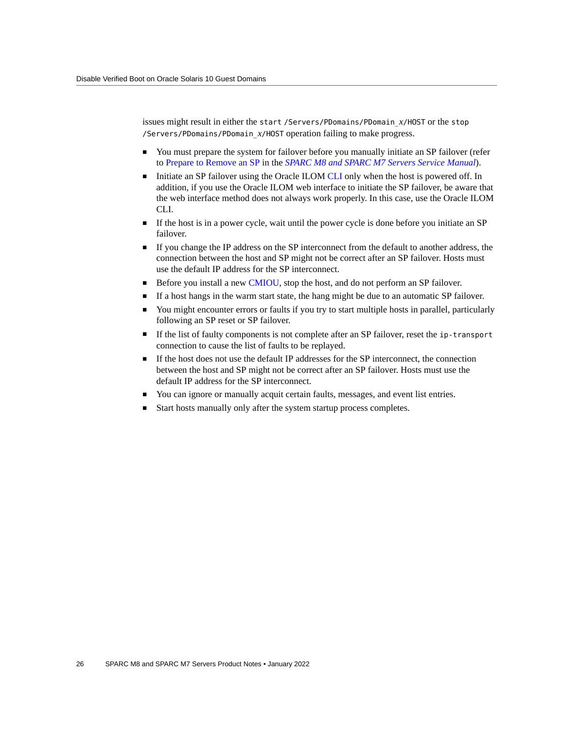issues might result in either the start /Servers/PDomains/PDomain\_*x*/HOST or the stop /Servers/PDomains/PDomain\_*x*/HOST operation failing to make progress.

- You must prepare the system for failover before you manually initiate an SP failover (refer to [Prepare to Remove an SP](https://docs.oracle.com/cd/E55211_01/html/E55215/gorfb.html#scrolltoc) in the *[SPARC M8 and SPARC M7 Servers Service Manual](https://docs.oracle.com/cd/E55211_01/html/E55215/index.html)*).
- Initiate an SP failover using the Oracle ILOM [CLI](#page-56-5) only when the host is powered off. In addition, if you use the Oracle ILOM web interface to initiate the SP failover, be aware that the web interface method does not always work properly. In this case, use the Oracle ILOM CLI.
- If the host is in a power cycle, wait until the power cycle is done before you initiate an SP failover.
- If you change the IP address on the SP interconnect from the default to another address, the connection between the host and SP might not be correct after an SP failover. Hosts must use the default IP address for the SP interconnect.
- Before you install a new [CMIOU](#page-56-6), stop the host, and do not perform an SP failover.
- If a host hangs in the warm start state, the hang might be due to an automatic SP failover.
- You might encounter errors or faults if you try to start multiple hosts in parallel, particularly following an SP reset or SP failover.
- If the list of faulty components is not complete after an SP failover, reset the ip-transport connection to cause the list of faults to be replayed.
- If the host does not use the default IP addresses for the SP interconnect, the connection between the host and SP might not be correct after an SP failover. Hosts must use the default IP address for the SP interconnect.
- You can ignore or manually acquit certain faults, messages, and event list entries.
- Start hosts manually only after the system startup process completes.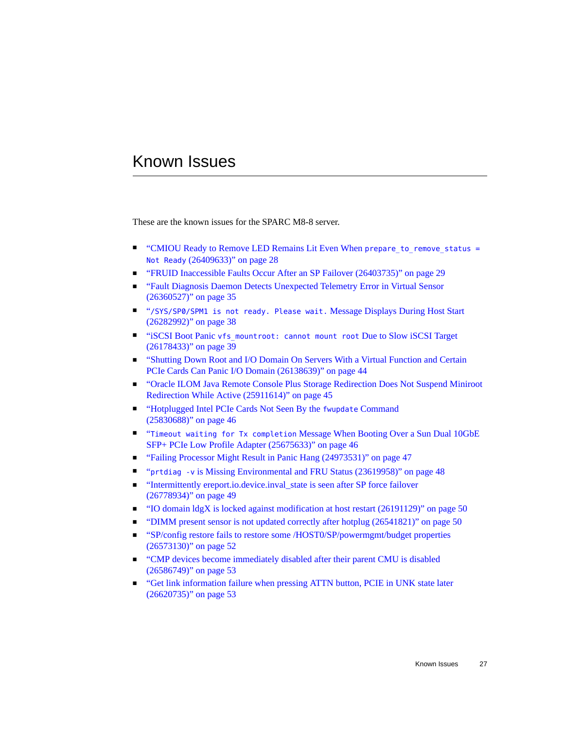## <span id="page-26-0"></span>Known Issues

These are the known issues for the SPARC M8-8 server.

- ["CMIOU Ready to Remove LED Remains Lit Even When](#page-27-0) prepare\_to\_remove\_status = Not Ready [\(26409633\)" on page 28](#page-27-0)
- ["FRUID Inaccessible Faults Occur After an SP Failover \(26403735\)" on page 29](#page-28-0)
- ["Fault Diagnosis Daemon Detects Unexpected Telemetry Error in Virtual Sensor](#page-34-0) [\(26360527\)" on page 35](#page-34-0)
- "[/SYS/SP0/SPM1 is not ready. Please wait.](#page-37-0) Message Displays During Host Start [\(26282992\)" on page 38](#page-37-0)
- "iSCSI Boot Panic [vfs\\_mountroot: cannot mount root](#page-38-0) Due to Slow iSCSI Target [\(26178433\)" on page 39](#page-38-0)
- ["Shutting Down Root and I/O Domain On Servers With a Virtual Function and Certain](#page-43-0) [PCIe Cards Can Panic I/O Domain \(26138639\)" on page 44](#page-43-0)
- ["Oracle ILOM Java Remote Console Plus Storage Redirection Does Not Suspend Miniroot](#page-44-0) [Redirection While Active \(25911614\)" on page 45](#page-44-0)
- ["Hotplugged Intel PCIe Cards Not Seen By the](#page-45-0) fwupdate Command [\(25830688\)" on page 46](#page-45-0)
- "Timeout waiting for Tx completion [Message When Booting Over a Sun Dual 10GbE](#page-45-1) [SFP+ PCIe Low Profile Adapter \(25675633\)" on page 46](#page-45-1)
- ["Failing Processor Might Result in Panic Hang \(24973531\)" on page 47](#page-46-0)
- "prtdiag -v [is Missing Environmental and FRU Status \(23619958\)" on page 48](#page-47-0)
- ["Intermittently ereport.io.device.inval\\_state is seen after SP force failover](#page-48-0) [\(26778934\)" on page 49](#page-48-0)
- ["IO domain ldgX is locked against modification at host restart \(26191129\)" on page 50](#page-49-0)
- ["DIMM present sensor is not updated correctly after hotplug \(26541821\)" on page 50](#page-49-1)
- ["SP/config restore fails to restore some /HOST0/SP/powermgmt/budget properties](#page-51-0) [\(26573130\)" on page 52](#page-51-0)
- ["CMP devices become immediately disabled after their parent CMU is disabled](#page-52-0) [\(26586749\)" on page 53](#page-52-0)
- ["Get link information failure when pressing ATTN button, PCIE in UNK state later](#page-52-1) [\(26620735\)" on page 53](#page-52-1)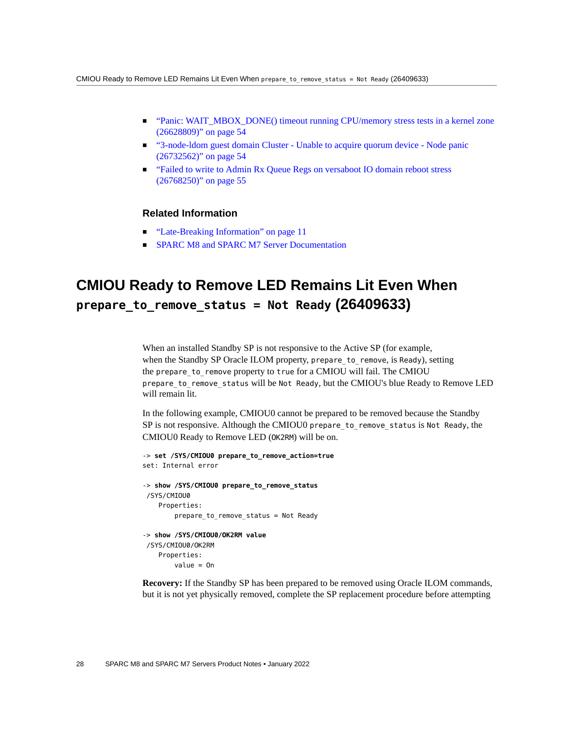- ["Panic: WAIT\\_MBOX\\_DONE\(\) timeout running CPU/memory stress tests in a kernel zone](#page-53-0) [\(26628809\)" on page 54](#page-53-0)
- ["3-node-ldom guest domain Cluster Unable to acquire quorum device Node panic](#page-53-1) [\(26732562\)" on page 54](#page-53-1)
- ["Failed to write to Admin Rx Queue Regs on versaboot IO domain reboot stress](#page-54-0) [\(26768250\)" on page 55](#page-54-0)

#### **Related Information**

- ["Late-Breaking Information" on page 11](#page-10-0)
- [SPARC M8 and SPARC M7 Server Documentation](http://www.oracle.com/goto/m8/docs)

## <span id="page-27-0"></span>**CMIOU Ready to Remove LED Remains Lit Even When prepare\_to\_remove\_status = Not Ready (26409633)**

When an installed Standby SP is not responsive to the Active SP (for example, when the Standby SP Oracle ILOM property, prepare to remove, is Ready), setting the prepare to remove property to true for a CMIOU will fail. The CMIOU prepare to remove status will be Not Ready, but the CMIOU's blue Ready to Remove LED will remain lit.

In the following example, CMIOU0 cannot be prepared to be removed because the Standby SP is not responsive. Although the CMIOU0 prepare\_to\_remove\_status is Not Ready, the CMIOU0 Ready to Remove LED (OK2RM) will be on.

```
-> set /SYS/CMIOU0 prepare_to_remove_action=true
set: Internal error
-> show /SYS/CMIOU0 prepare_to_remove_status
 /SYS/CMIOU0
    Properties:
        prepare_to_remove_status = Not Ready
-> show /SYS/CMIOU0/OK2RM value
 /SYS/CMIOU0/OK2RM
    Properties:
         value = On
```
**Recovery:** If the Standby SP has been prepared to be removed using Oracle ILOM commands, but it is not yet physically removed, complete the SP replacement procedure before attempting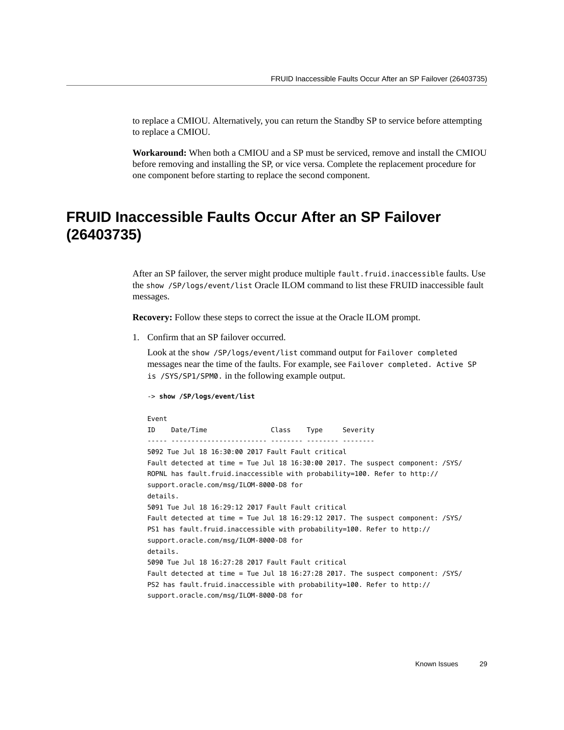to replace a CMIOU. Alternatively, you can return the Standby SP to service before attempting to replace a CMIOU.

**Workaround:** When both a CMIOU and a SP must be serviced, remove and install the CMIOU before removing and installing the SP, or vice versa. Complete the replacement procedure for one component before starting to replace the second component.

## <span id="page-28-0"></span>**FRUID Inaccessible Faults Occur After an SP Failover (26403735)**

After an SP failover, the server might produce multiple fault.fruid.inaccessible faults. Use the show /SP/logs/event/list Oracle ILOM command to list these FRUID inaccessible fault messages.

**Recovery:** Follow these steps to correct the issue at the Oracle ILOM prompt.

1. Confirm that an SP failover occurred.

Look at the show /SP/logs/event/list command output for Failover completed messages near the time of the faults. For example, see Failover completed. Active SP is /SYS/SP1/SPM0. in the following example output.

-> **show /SP/logs/event/list**

```
Event
ID Date/Time Class Type Severity
----- ------------------------ -------- -------- --------
5092 Tue Jul 18 16:30:00 2017 Fault Fault critical
Fault detected at time = Tue Jul 18 16:30:00 2017. The suspect component: /SYS/
ROPNL has fault.fruid.inaccessible with probability=100. Refer to http://
support.oracle.com/msg/ILOM-8000-D8 for
details.
5091 Tue Jul 18 16:29:12 2017 Fault Fault critical
Fault detected at time = Tue Jul 18 16:29:12 2017. The suspect component: /SYS/
PS1 has fault.fruid.inaccessible with probability=100. Refer to http://
support.oracle.com/msg/ILOM-8000-D8 for
details.
5090 Tue Jul 18 16:27:28 2017 Fault Fault critical
Fault detected at time = Tue Jul 18 16:27:28 2017. The suspect component: /SYS/
PS2 has fault.fruid.inaccessible with probability=100. Refer to http://
support.oracle.com/msg/ILOM-8000-D8 for
```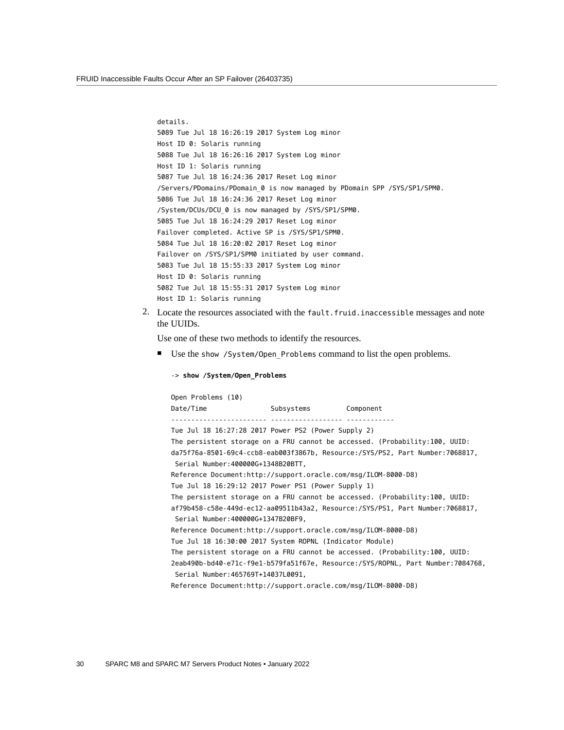```
details.
5089 Tue Jul 18 16:26:19 2017 System Log minor
Host ID 0: Solaris running
5088 Tue Jul 18 16:26:16 2017 System Log minor
Host ID 1: Solaris running
5087 Tue Jul 18 16:24:36 2017 Reset Log minor
/Servers/PDomains/PDomain_0 is now managed by PDomain SPP /SYS/SP1/SPM0.
5086 Tue Jul 18 16:24:36 2017 Reset Log minor
/System/DCUs/DCU_0 is now managed by /SYS/SP1/SPM0.
5085 Tue Jul 18 16:24:29 2017 Reset Log minor
Failover completed. Active SP is /SYS/SP1/SPM0.
5084 Tue Jul 18 16:20:02 2017 Reset Log minor
Failover on /SYS/SP1/SPM0 initiated by user command.
5083 Tue Jul 18 15:55:33 2017 System Log minor
Host ID 0: Solaris running
5082 Tue Jul 18 15:55:31 2017 System Log minor
Host ID 1: Solaris running
```
2. Locate the resources associated with the fault.fruid.inaccessible messages and note the UUIDs.

Use one of these two methods to identify the resources.

-> **show /System/Open\_Problems**

■ Use the show / System/Open Problems command to list the open problems.

```
Open Problems (10)
Date/Time Subsystems Component
------------------------ ------------------ ------------
Tue Jul 18 16:27:28 2017 Power PS2 (Power Supply 2)
The persistent storage on a FRU cannot be accessed. (Probability:100, UUID:
da75f76a-8501-69c4-ccb8-eab003f3867b, Resource:/SYS/PS2, Part Number:7068817,
 Serial Number:400000G+1348B20BTT,
Reference Document:http://support.oracle.com/msg/ILOM-8000-D8)
Tue Jul 18 16:29:12 2017 Power PS1 (Power Supply 1)
The persistent storage on a FRU cannot be accessed. (Probability:100, UUID:
af79b458-c58e-449d-ec12-aa09511b43a2, Resource:/SYS/PS1, Part Number:7068817,
 Serial Number:400000G+1347B20BF9,
Reference Document:http://support.oracle.com/msg/ILOM-8000-D8)
Tue Jul 18 16:30:00 2017 System ROPNL (Indicator Module)
The persistent storage on a FRU cannot be accessed. (Probability:100, UUID:
2eab490b-bd40-e71c-f9e1-b579fa51f67e, Resource:/SYS/ROPNL, Part Number:7084768,
 Serial Number:465769T+14037L0091,
Reference Document:http://support.oracle.com/msg/ILOM-8000-D8)
```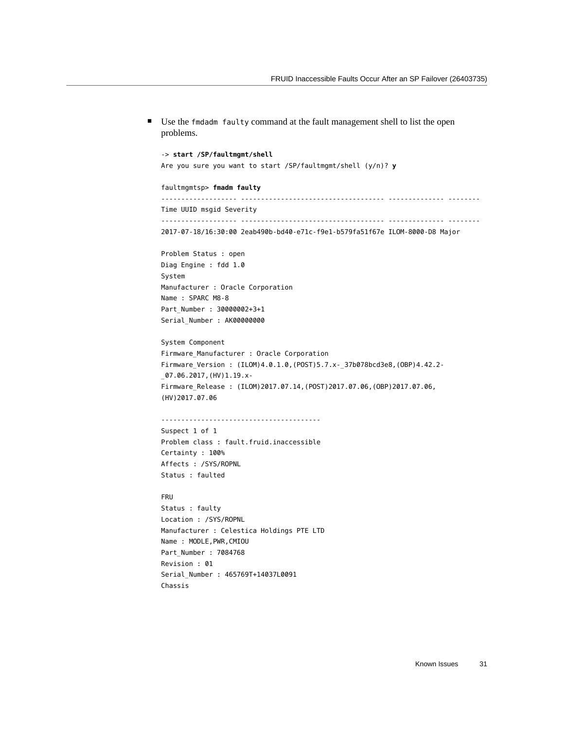problems. -> **start /SP/faultmgmt/shell** Are you sure you want to start /SP/faultmgmt/shell (y/n)? **y** faultmgmtsp> **fmadm faulty** ------------------- ------------------------------------ -------------- -------- Time UUID msgid Severity ------------------- ------------------------------------ -------------- -------- 2017-07-18/16:30:00 2eab490b-bd40-e71c-f9e1-b579fa51f67e ILOM-8000-D8 Major Problem Status : open Diag Engine : fdd 1.0 System Manufacturer : Oracle Corporation Name : SPARC M8-8 Part\_Number : 30000002+3+1 Serial\_Number : AK00000000 System Component Firmware\_Manufacturer : Oracle Corporation Firmware\_Version : (ILOM)4.0.1.0,(POST)5.7.x-\_37b078bcd3e8,(OBP)4.42.2- \_07.06.2017,(HV)1.19.x-Firmware\_Release : (ILOM)2017.07.14,(POST)2017.07.06,(OBP)2017.07.06, (HV)2017.07.06 ---------------------------------------- Suspect 1 of 1 Problem class : fault.fruid.inaccessible Certainty : 100% Affects : /SYS/ROPNL Status : faulted FRU Status : faulty Location : /SYS/ROPNL Manufacturer : Celestica Holdings PTE LTD Name : MODLE, PWR, CMIOU Part\_Number : 7084768 Revision : 01 Serial\_Number : 465769T+14037L0091 Chassis

■ Use the fmdadm faulty command at the fault management shell to list the open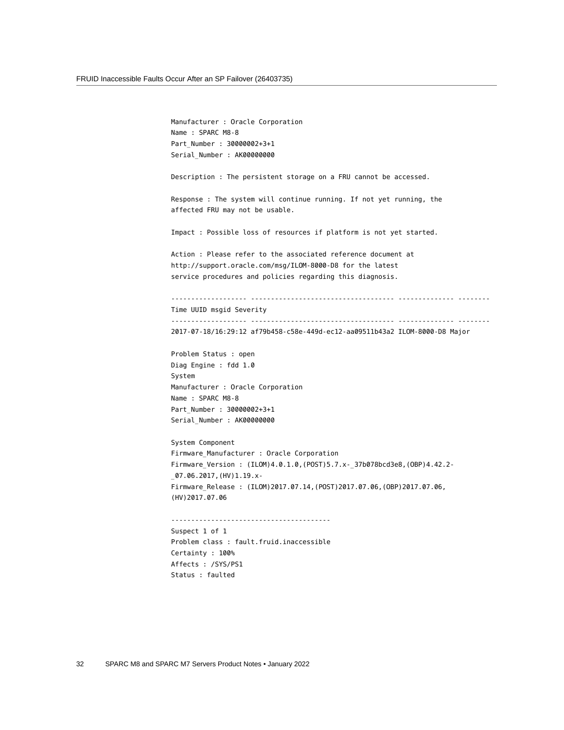Manufacturer : Oracle Corporation Name : SPARC M8-8 Part\_Number : 30000002+3+1 Serial\_Number : AK00000000 Description : The persistent storage on a FRU cannot be accessed. Response : The system will continue running. If not yet running, the affected FRU may not be usable. Impact : Possible loss of resources if platform is not yet started. Action : Please refer to the associated reference document at http://support.oracle.com/msg/ILOM-8000-D8 for the latest service procedures and policies regarding this diagnosis. ------------------- ------------------------------------ -------------- -------- Time UUID msgid Severity ------------------- ------------------------------------ -------------- -------- 2017-07-18/16:29:12 af79b458-c58e-449d-ec12-aa09511b43a2 ILOM-8000-D8 Major Problem Status : open Diag Engine : fdd 1.0 System Manufacturer : Oracle Corporation Name : SPARC M8-8 Part\_Number : 30000002+3+1 Serial\_Number : AK00000000 System Component Firmware\_Manufacturer : Oracle Corporation Firmware\_Version : (ILOM)4.0.1.0,(POST)5.7.x-\_37b078bcd3e8,(OBP)4.42.2- \_07.06.2017,(HV)1.19.x-Firmware\_Release : (ILOM)2017.07.14,(POST)2017.07.06,(OBP)2017.07.06, (HV)2017.07.06 ---------------------------------------- Suspect 1 of 1 Problem class : fault.fruid.inaccessible Certainty : 100% Affects : /SYS/PS1

Status : faulted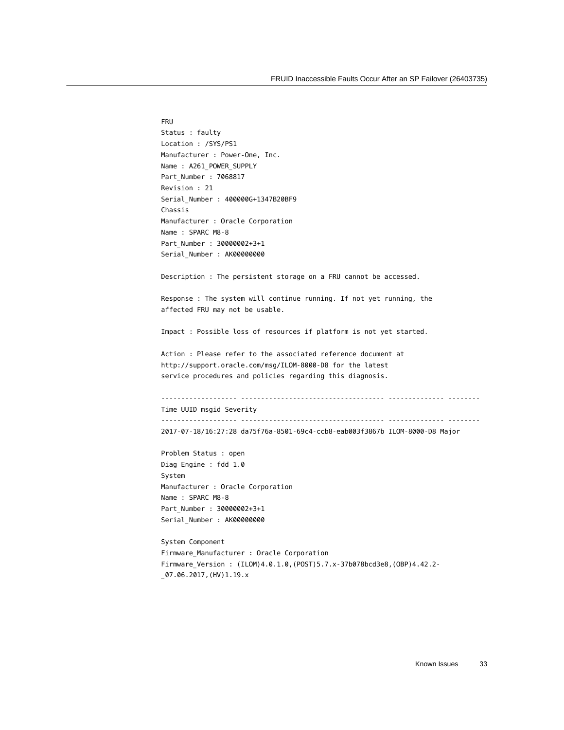```
FRU
Status : faulty
Location : /SYS/PS1
Manufacturer : Power-One, Inc.
Name : A261_POWER_SUPPLY
Part_Number : 7068817
Revision : 21
Serial_Number : 400000G+1347B20BF9
Chassis
Manufacturer : Oracle Corporation
Name : SPARC M8-8
Part_Number : 30000002+3+1
Serial_Number : AK00000000
Description : The persistent storage on a FRU cannot be accessed.
Response : The system will continue running. If not yet running, the
affected FRU may not be usable.
Impact : Possible loss of resources if platform is not yet started.
Action : Please refer to the associated reference document at
http://support.oracle.com/msg/ILOM-8000-D8 for the latest
service procedures and policies regarding this diagnosis.
------------------- ------------------------------------ -------------- --------
Time UUID msgid Severity
------------------- ------------------------------------ -------------- --------
2017-07-18/16:27:28 da75f76a-8501-69c4-ccb8-eab003f3867b ILOM-8000-D8 Major
Problem Status : open
Diag Engine : fdd 1.0
System
Manufacturer : Oracle Corporation
Name : SPARC M8-8
Part_Number : 30000002+3+1
Serial_Number : AK00000000
System Component
Firmware_Manufacturer : Oracle Corporation
Firmware_Version : (ILOM)4.0.1.0,(POST)5.7.x-37b078bcd3e8,(OBP)4.42.2-
_07.06.2017,(HV)1.19.x
```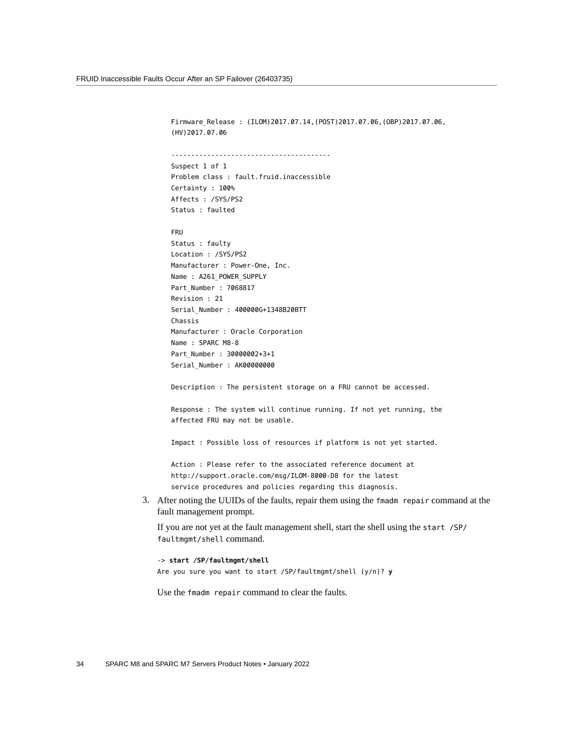Firmware\_Release : (ILOM)2017.07.14,(POST)2017.07.06,(OBP)2017.07.06, (HV)2017.07.06 ---------------------------------------- Suspect 1 of 1 Problem class : fault.fruid.inaccessible Certainty : 100% Affects : /SYS/PS2 Status : faulted FRU Status : faulty Location : /SYS/PS2 Manufacturer : Power-One, Inc. Name : A261\_POWER\_SUPPLY Part\_Number : 7068817 Revision : 21 Serial\_Number : 400000G+1348B20BTT Chassis Manufacturer : Oracle Corporation Name : SPARC M8-8 Part\_Number : 30000002+3+1 Serial Number : AK00000000 Description : The persistent storage on a FRU cannot be accessed. Response : The system will continue running. If not yet running, the affected FRU may not be usable. Impact : Possible loss of resources if platform is not yet started. Action : Please refer to the associated reference document at http://support.oracle.com/msg/ILOM-8000-D8 for the latest service procedures and policies regarding this diagnosis. 3. After noting the UUIDs of the faults, repair them using the fmadm repair command at the fault management prompt. If you are not yet at the fault management shell, start the shell using the start /SP/ faultmgmt/shell command. -> **start /SP/faultmgmt/shell**

Are you sure you want to start /SP/faultmgmt/shell (y/n)? **y**

Use the fmadm repair command to clear the faults.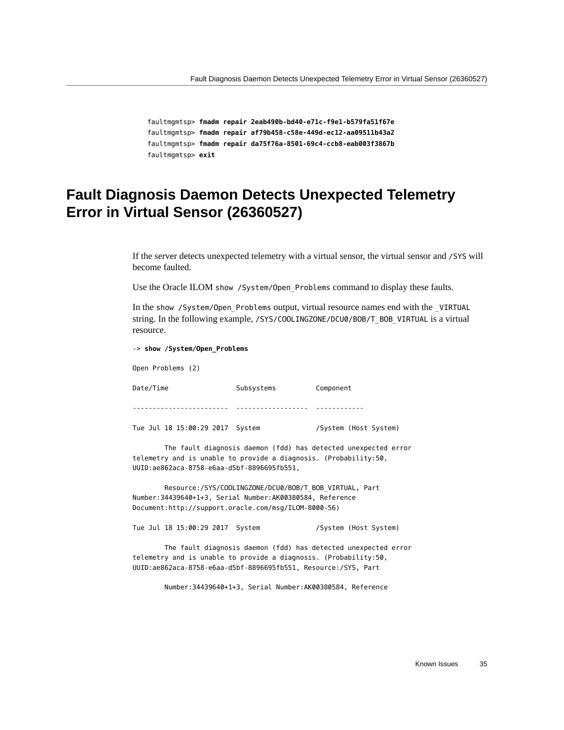faultmgmtsp> **fmadm repair 2eab490b-bd40-e71c-f9e1-b579fa51f67e** faultmgmtsp> **fmadm repair af79b458-c58e-449d-ec12-aa09511b43a2** faultmgmtsp> **fmadm repair da75f76a-8501-69c4-ccb8-eab003f3867b** faultmgmtsp> **exit**

### <span id="page-34-0"></span>**Fault Diagnosis Daemon Detects Unexpected Telemetry Error in Virtual Sensor (26360527)**

If the server detects unexpected telemetry with a virtual sensor, the virtual sensor and /SYS will become faulted.

Use the Oracle ILOM show / System/Open Problems command to display these faults.

In the show /System/Open\_Problems output, virtual resource names end with the \_VIRTUAL string. In the following example, /SYS/COOLINGZONE/DCU0/BOB/T\_BOB\_VIRTUAL is a virtual resource.

-> **show /System/Open\_Problems**

Open Problems (2)

Date/Time Subsystems Component ------------------------ ------------------ ------------

Tue Jul 18 15:00:29 2017 System /System (Host System)

 The fault diagnosis daemon (fdd) has detected unexpected error telemetry and is unable to provide a diagnosis. (Probability:50, UUID:ae862aca-8758-e6aa-d5bf-8896695fb551,

 Resource:/SYS/COOLINGZONE/DCU0/BOB/T\_BOB\_VIRTUAL, Part Number:34439640+1+3, Serial Number:AK00380584, Reference Document:http://support.oracle.com/msg/ILOM-8000-56)

Tue Jul 18 15:00:29 2017 System /System (Host System)

 The fault diagnosis daemon (fdd) has detected unexpected error telemetry and is unable to provide a diagnosis. (Probability:50, UUID:ae862aca-8758-e6aa-d5bf-8896695fb551, Resource:/SYS, Part

Number:34439640+1+3, Serial Number:AK00380584, Reference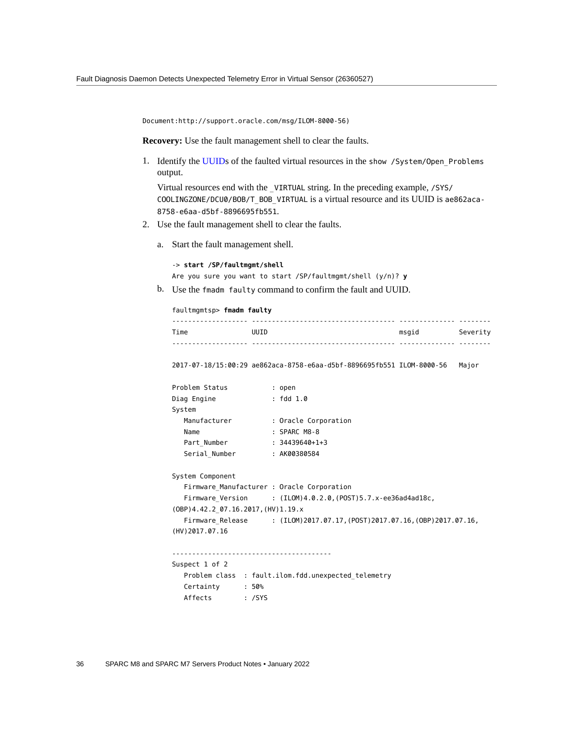Document:http://support.oracle.com/msg/ILOM-8000-56)

**Recovery:** Use the fault management shell to clear the faults.

1. Identify the [UUIDs](#page-61-3) of the faulted virtual resources in the show /System/Open\_Problems output.

Virtual resources end with the \_VIRTUAL string. In the preceding example, /SYS/ COOLINGZONE/DCU0/BOB/T\_BOB\_VIRTUAL is a virtual resource and its UUID is ae862aca-8758-e6aa-d5bf-8896695fb551.

- 2. Use the fault management shell to clear the faults.
	- a. Start the fault management shell.

-> **start /SP/faultmgmt/shell** Are you sure you want to start /SP/faultmgmt/shell (y/n)? **y**

b. Use the fmadm faulty command to confirm the fault and UUID.

| faultmgmtsp> fmadm faulty |      |  |       |          |
|---------------------------|------|--|-------|----------|
| Time                      | UUID |  | msqid | Severity |
|                           |      |  |       |          |

2017-07-18/15:00:29 ae862aca-8758-e6aa-d5bf-8896695fb551 ILOM-8000-56 Major

| Problem Status | : open               |  |
|----------------|----------------------|--|
| Diag Engine    | : fdd 1.0            |  |
| System         |                      |  |
| Manufacturer   | : Oracle Corporation |  |
| Name           | $:$ SPARC M8-8       |  |
| Part Number    | $: 34439640 + 1 + 3$ |  |
| Serial Number  | : AK00380584         |  |
|                |                      |  |

System Component Firmware\_Manufacturer : Oracle Corporation Firmware\_Version : (ILOM)4.0.2.0,(POST)5.7.x-ee36ad4ad18c, (OBP)4.42.2\_07.16.2017,(HV)1.19.x Firmware\_Release : (ILOM)2017.07.17,(POST)2017.07.16,(OBP)2017.07.16, (HV)2017.07.16

```
----------------------------------------
```

```
Suspect 1 of 2
   Problem class : fault.ilom.fdd.unexpected_telemetry
   Certainty : 50%
   Affects : /SYS
```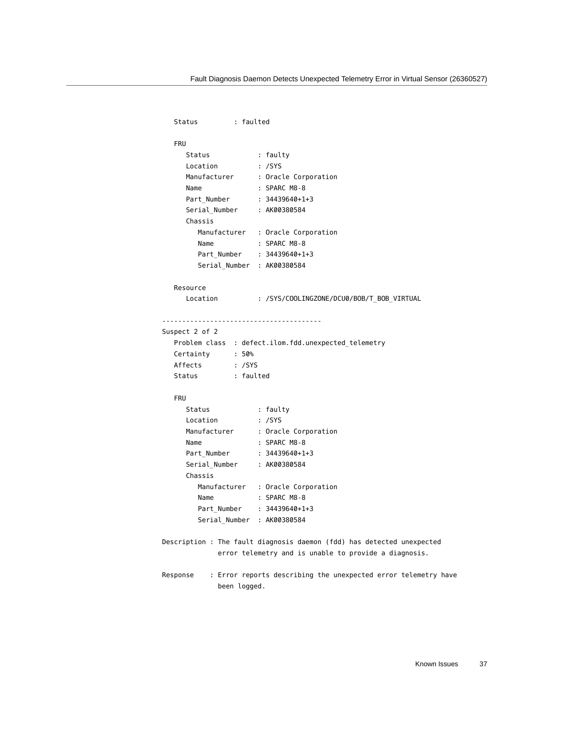```
 Status : faulted
   FRU 
    Status : faulty
 Location : /SYS
 Manufacturer : Oracle Corporation
Name : SPARC M8-8
 Part_Number : 34439640+1+3
    Serial_Number : AK00380584
     Chassis 
        Manufacturer : Oracle Corporation
       Name : SPARC M8-8
        Part_Number : 34439640+1+3
       Serial Number : AK00380584
   Resource 
     Location : /SYS/COOLINGZONE/DCU0/BOB/T_BOB_VIRTUAL
----------------------------------------
Suspect 2 of 2
   Problem class : defect.ilom.fdd.unexpected_telemetry
   Certainty : 50%
   Affects : /SYS
   Status : faulted
   FRU 
    Status : faulty
 Location : /SYS
 Manufacturer : Oracle Corporation
Name : SPARC M8-8
 Part_Number : 34439640+1+3
    Serial Number : AK00380584
     Chassis 
        Manufacturer : Oracle Corporation
       Name : SPARC M8-8
       Part Number : 34439640+1+3
        Serial_Number : AK00380584
Description : The fault diagnosis daemon (fdd) has detected unexpected
            error telemetry and is unable to provide a diagnosis.
Response : Error reports describing the unexpected error telemetry have
             been logged.
```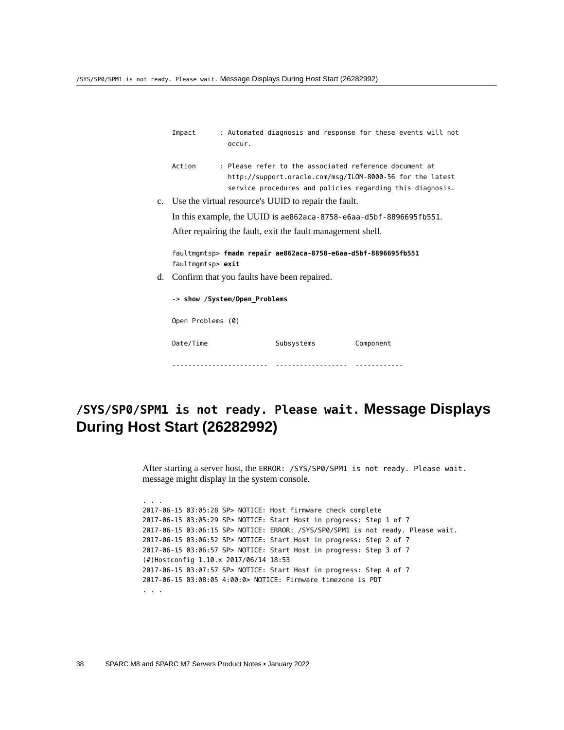|    | Impact            | occur.                        |                                                             | : Automated diagnosis and response for these events will not                                                                                                                     |  |
|----|-------------------|-------------------------------|-------------------------------------------------------------|----------------------------------------------------------------------------------------------------------------------------------------------------------------------------------|--|
|    | Action            |                               |                                                             | : Please refer to the associated reference document at<br>http://support.oracle.com/msg/ILOM-8000-56 for the latest<br>service procedures and policies regarding this diagnosis. |  |
|    |                   |                               | c. Use the virtual resource's UUID to repair the fault.     |                                                                                                                                                                                  |  |
|    |                   |                               |                                                             | In this example, the UUID is $ae862aca-8758- e6aa-d5bf-8896695fb551$ .                                                                                                           |  |
|    |                   |                               | After repairing the fault, exit the fault management shell. |                                                                                                                                                                                  |  |
|    | faultmgmtsp> exit |                               |                                                             | faultmgmtsp> fmadm repair ae862aca-8758-e6aa-d5bf-8896695fb551                                                                                                                   |  |
| d. |                   |                               | Confirm that you faults have been repaired.                 |                                                                                                                                                                                  |  |
|    |                   | -> show /System/Open Problems |                                                             |                                                                                                                                                                                  |  |
|    | Open Problems (0) |                               |                                                             |                                                                                                                                                                                  |  |
|    | Date/Time         |                               | Subsystems                                                  | Component                                                                                                                                                                        |  |

------------------------ ------------------ ------------

## <span id="page-37-0"></span>**/SYS/SP0/SPM1 is not ready. Please wait. Message Displays During Host Start (26282992)**

After starting a server host, the ERROR: /SYS/SP0/SPM1 is not ready. Please wait. message might display in the system console.

```
2017-06-15 03:05:28 SP> NOTICE: Host firmware check complete
2017-06-15 03:05:29 SP> NOTICE: Start Host in progress: Step 1 of 7
2017-06-15 03:06:15 SP> NOTICE: ERROR: /SYS/SP0/SPM1 is not ready. Please wait.
2017-06-15 03:06:52 SP> NOTICE: Start Host in progress: Step 2 of 7
2017-06-15 03:06:57 SP> NOTICE: Start Host in progress: Step 3 of 7
(#)Hostconfig 1.10.x 2017/06/14 18:53
2017-06-15 03:07:57 SP> NOTICE: Start Host in progress: Step 4 of 7
2017-06-15 03:08:05 4:00:0> NOTICE: Firmware timezone is PDT
. . .
```
. . .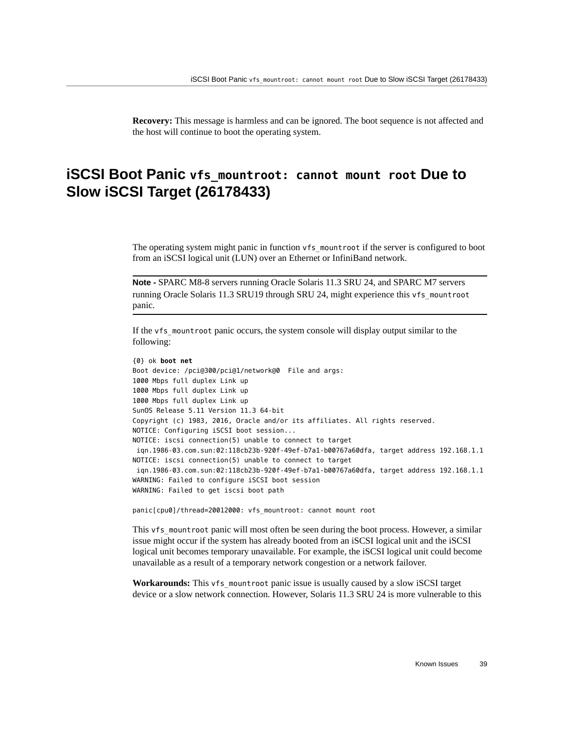**Recovery:** This message is harmless and can be ignored. The boot sequence is not affected and the host will continue to boot the operating system.

## <span id="page-38-0"></span>**iSCSI Boot Panic vfs\_mountroot: cannot mount root Due to Slow iSCSI Target (26178433)**

The operating system might panic in function vfs mountroot if the server is configured to boot from an iSCSI logical unit (LUN) over an Ethernet or InfiniBand network.

**Note -** SPARC M8-8 servers running Oracle Solaris 11.3 SRU 24, and SPARC M7 servers running Oracle Solaris 11.3 SRU19 through SRU 24, might experience this vfs\_mountroot panic.

If the vfs\_mountroot panic occurs, the system console will display output similar to the following:

```
{0} ok boot net
Boot device: /pci@300/pci@1/network@0 File and args:
1000 Mbps full duplex Link up
1000 Mbps full duplex Link up
1000 Mbps full duplex Link up
SunOS Release 5.11 Version 11.3 64-bit
Copyright (c) 1983, 2016, Oracle and/or its affiliates. All rights reserved.
NOTICE: Configuring iSCSI boot session...
NOTICE: iscsi connection(5) unable to connect to target
  iqn.1986-03.com.sun:02:118cb23b-920f-49ef-b7a1-b00767a60dfa, target address 192.168.1.1
NOTICE: iscsi connection(5) unable to connect to target
  iqn.1986-03.com.sun:02:118cb23b-920f-49ef-b7a1-b00767a60dfa, target address 192.168.1.1
WARNING: Failed to configure iSCSI boot session
WARNING: Failed to get iscsi boot path
```
panic[cpu0]/thread=20012000: vfs mountroot: cannot mount root

This vfs mountroot panic will most often be seen during the boot process. However, a similar issue might occur if the system has already booted from an iSCSI logical unit and the iSCSI logical unit becomes temporary unavailable. For example, the iSCSI logical unit could become unavailable as a result of a temporary network congestion or a network failover.

**Workarounds:** This vfs\_mountroot panic issue is usually caused by a slow iSCSI target device or a slow network connection. However, Solaris 11.3 SRU 24 is more vulnerable to this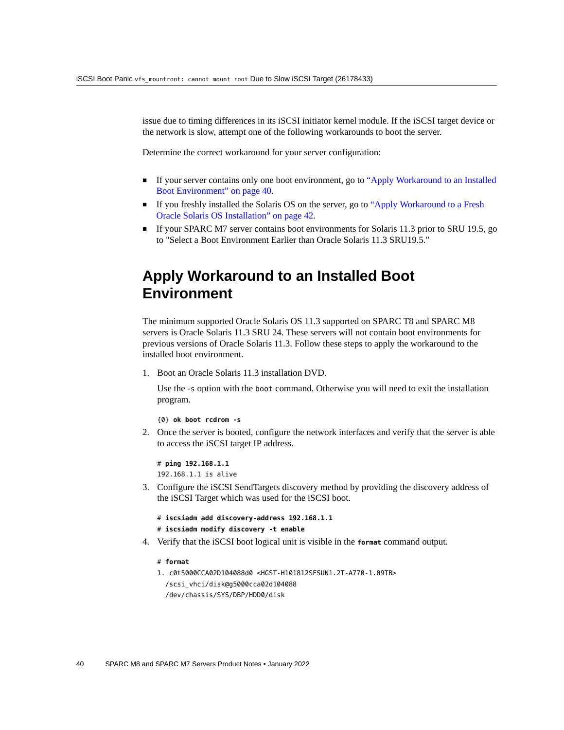issue due to timing differences in its iSCSI initiator kernel module. If the iSCSI target device or the network is slow, attempt one of the following workarounds to boot the server.

Determine the correct workaround for your server configuration:

- If your server contains only one boot environment, go to ["Apply Workaround to an Installed](#page-39-0) [Boot Environment" on page 40.](#page-39-0)
- If you freshly installed the Solaris OS on the server, go to ["Apply Workaround to a Fresh](#page-41-0) [Oracle Solaris OS Installation" on page 42](#page-41-0).
- If your SPARC M7 server contains boot environments for Solaris 11.3 prior to SRU 19.5, go to "Select a Boot Environment Earlier than Oracle Solaris 11.3 SRU19.5."

### <span id="page-39-0"></span>**Apply Workaround to an Installed Boot Environment**

The minimum supported Oracle Solaris OS 11.3 supported on SPARC T8 and SPARC M8 servers is Oracle Solaris 11.3 SRU 24. These servers will not contain boot environments for previous versions of Oracle Solaris 11.3. Follow these steps to apply the workaround to the installed boot environment.

1. Boot an Oracle Solaris 11.3 installation DVD.

Use the -s option with the boot command. Otherwise you will need to exit the installation program.

```
{0} ok boot rcdrom -s
```
2. Once the server is booted, configure the network interfaces and verify that the server is able to access the iSCSI target IP address.

```
# ping 192.168.1.1
192.168.1.1 is alive
```
- 3. Configure the iSCSI SendTargets discovery method by providing the discovery address of the iSCSI Target which was used for the iSCSI boot.
	- # **iscsiadm add discovery-address 192.168.1.1**
	- # **iscsiadm modify discovery -t enable**
- 4. Verify that the iSCSI boot logical unit is visible in the **format** command output.
	- # **format**
	- 1. c0t5000CCA02D104088d0 <HGST-H101812SFSUN1.2T-A770-1.09TB> /scsi\_vhci/disk@g5000cca02d104088 /dev/chassis/SYS/DBP/HDD0/disk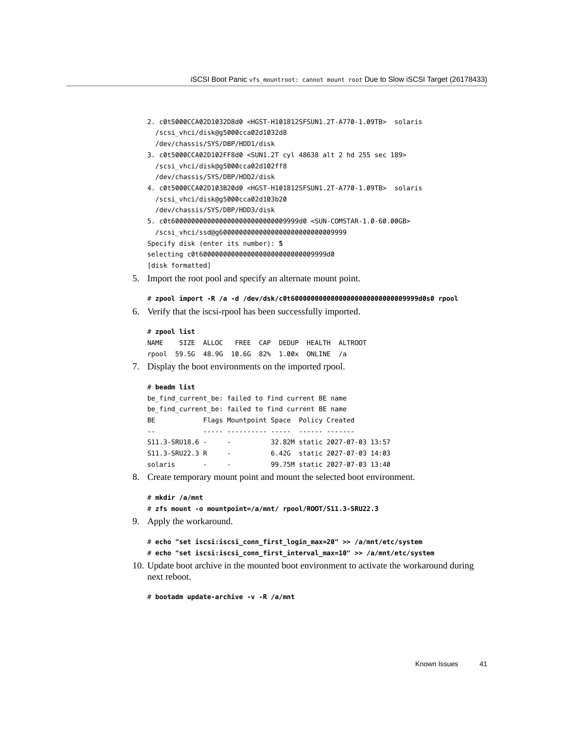```
2. c0t5000CCA02D1032D8d0 <HGST-H101812SFSUN1.2T-A770-1.09TB> solaris
  /scsi_vhci/disk@g5000cca02d1032d8
  /dev/chassis/SYS/DBP/HDD1/disk
```
3. c0t5000CCA02D102FF8d0 <SUN1.2T cyl 48638 alt 2 hd 255 sec 189> /scsi\_vhci/disk@g5000cca02d102ff8 /dev/chassis/SYS/DBP/HDD2/disk

```
4. c0t5000CCA02D103B20d0 <HGST-H101812SFSUN1.2T-A770-1.09TB> solaris
   /scsi_vhci/disk@g5000cca02d103b20
   /dev/chassis/SYS/DBP/HDD3/disk
5. c0t60000000000000000000000000009999d0 <SUN-COMSTAR-1.0-60.00GB>
```

```
 /scsi_vhci/ssd@g60000000000000000000000000009999
Specify disk (enter its number): 5 
selecting c0t60000000000000000000000000009999d0
[disk formatted]
```
5. Import the root pool and specify an alternate mount point.

```
# zpool import -R /a -d /dev/dsk/c0t60000000000000000000000000009999d0s0 rpool
```
6. Verify that the iscsi-rpool has been successfully imported.

```
# zpool list
NAME SIZE ALLOC FREE CAP DEDUP HEALTH ALTROOT
rpool 59.5G 48.9G 10.6G 82% 1.00x ONLINE /a
```
7. Display the boot environments on the imported rpool.

```
# beadm list
be find current be: failed to find current BE name
be find current be: failed to find current BE name
BE Flags Mountpoint Space Policy Created 
            -- ----- ---------- ----- ------ ------- 
S11.3-SRU18.6 - - 32.82M static 2027-07-03 13:57 
S11.3-SRU22.3 R - 6.42G static 2027-07-03 14:03 
solaris - - 99.75M static 2027-07-03 13:40
```
8. Create temporary mount point and mount the selected boot environment.

```
# mkdir /a/mnt
```

```
# zfs mount -o mountpoint=/a/mnt/ rpool/ROOT/S11.3-SRU22.3
```
9. Apply the workaround.

```
# echo "set iscsi:iscsi_conn_first_login_max=20" >> /a/mnt/etc/system
# echo "set iscsi:iscsi_conn_first_interval_max=10" >> /a/mnt/etc/system
```
10. Update boot archive in the mounted boot environment to activate the workaround during next reboot.

# **bootadm update-archive -v -R /a/mnt**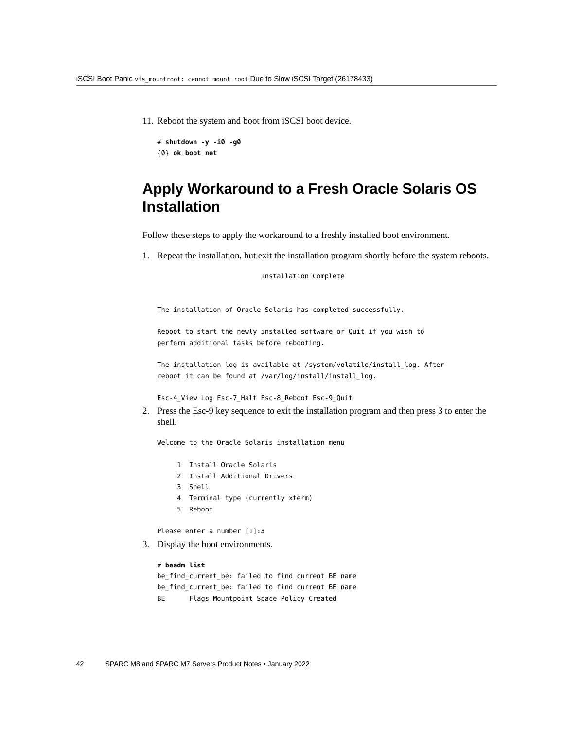11. Reboot the system and boot from iSCSI boot device.

```
# shutdown -y -i0 -g0
{0} ok boot net
```
## <span id="page-41-0"></span>**Apply Workaround to a Fresh Oracle Solaris OS Installation**

Follow these steps to apply the workaround to a freshly installed boot environment.

1. Repeat the installation, but exit the installation program shortly before the system reboots.

Installation Complete

The installation of Oracle Solaris has completed successfully.

Reboot to start the newly installed software or Quit if you wish to perform additional tasks before rebooting.

The installation log is available at /system/volatile/install\_log. After reboot it can be found at /var/log/install/install log.

Esc-4\_View Log Esc-7\_Halt Esc-8\_Reboot Esc-9\_Quit

2. Press the Esc-9 key sequence to exit the installation program and then press 3 to enter the shell.

Welcome to the Oracle Solaris installation menu

- 1 Install Oracle Solaris
- 2 Install Additional Drivers
- 3 Shell
- 4 Terminal type (currently xterm)
- 5 Reboot

Please enter a number [1]:**3**

3. Display the boot environments.

#### # **beadm list**

be\_find\_current\_be: failed to find current BE name be\_find\_current\_be: failed to find current BE name BE Flags Mountpoint Space Policy Created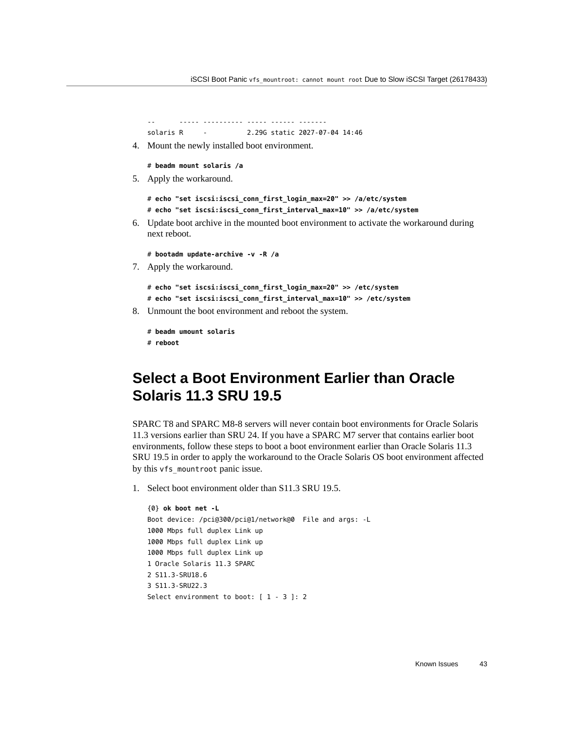```
-- ----- ---------- ----- ------ ------- 
solaris R - 2.29G static 2027-07-04 14:46
```
4. Mount the newly installed boot environment.

```
# beadm mount solaris /a
```
5. Apply the workaround.

```
# echo "set iscsi:iscsi_conn_first_login_max=20" >> /a/etc/system
# echo "set iscsi:iscsi_conn_first_interval_max=10" >> /a/etc/system
```
- 6. Update boot archive in the mounted boot environment to activate the workaround during next reboot.
	- # **bootadm update-archive -v -R /a**
- 7. Apply the workaround.

```
# echo "set iscsi:iscsi_conn_first_login_max=20" >> /etc/system
# echo "set iscsi:iscsi_conn_first_interval_max=10" >> /etc/system
```
8. Unmount the boot environment and reboot the system.

```
# beadm umount solaris
# reboot
```
## <span id="page-42-0"></span>**Select a Boot Environment Earlier than Oracle Solaris 11.3 SRU 19.5**

SPARC T8 and SPARC M8-8 servers will never contain boot environments for Oracle Solaris 11.3 versions earlier than SRU 24. If you have a SPARC M7 server that contains earlier boot environments, follow these steps to boot a boot environment earlier than Oracle Solaris 11.3 SRU 19.5 in order to apply the workaround to the Oracle Solaris OS boot environment affected by this vfs mountroot panic issue.

1. Select boot environment older than S11.3 SRU 19.5.

```
{0} ok boot net -L
Boot device: /pci@300/pci@1/network@0 File and args: -L
1000 Mbps full duplex Link up
1000 Mbps full duplex Link up
1000 Mbps full duplex Link up
1 Oracle Solaris 11.3 SPARC
2 S11.3-SRU18.6
3 S11.3-SRU22.3
Select environment to boot: [ 1 - 3 ]: 2
```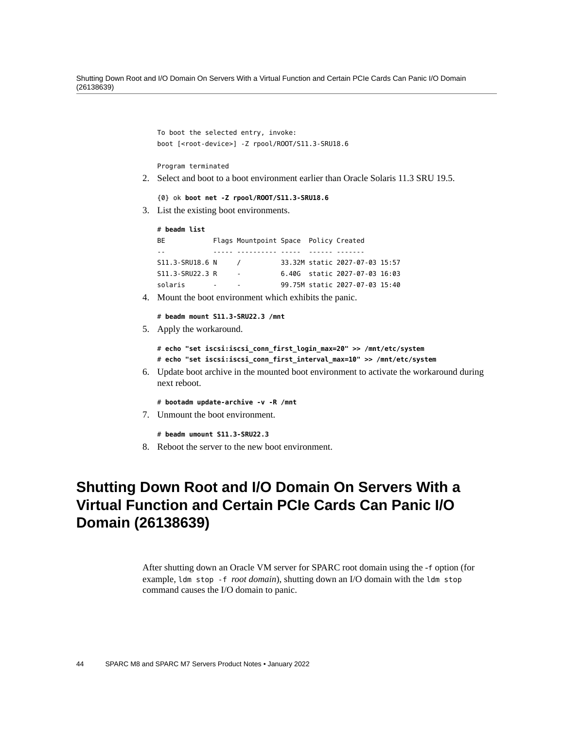Shutting Down Root and I/O Domain On Servers With a Virtual Function and Certain PCIe Cards Can Panic I/O Domain (26138639)

```
To boot the selected entry, invoke:
   boot [<root-device>] -Z rpool/ROOT/S11.3-SRU18.6
   Program terminated
2. Select and boot to a boot environment earlier than Oracle Solaris 11.3 SRU 19.5.
   {0} ok boot net -Z rpool/ROOT/S11.3-SRU18.6
3. List the existing boot environments.
   # beadm list
   BE Flags Mountpoint Space Policy Created 
   -- ----- ---------- ----- ------ ------- 
   S11.3-SRU18.6 N / 33.32M static 2027-07-03 15:57 
   S11.3-SRU22.3 R - 6.40G static 2027-07-03 16:03 
   solaris - - 99.75M static 2027-07-03 15:40
4. Mount the boot environment which exhibits the panic.
   # beadm mount S11.3-SRU22.3 /mnt
```
5. Apply the workaround.

```
# echo "set iscsi:iscsi_conn_first_login_max=20" >> /mnt/etc/system
# echo "set iscsi:iscsi_conn_first_interval_max=10" >> /mnt/etc/system
```
- 6. Update boot archive in the mounted boot environment to activate the workaround during next reboot.
	- # **bootadm update-archive -v -R /mnt**
- 7. Unmount the boot environment.

```
# beadm umount S11.3-SRU22.3
```
8. Reboot the server to the new boot environment.

## <span id="page-43-0"></span>**Shutting Down Root and I/O Domain On Servers With a Virtual Function and Certain PCIe Cards Can Panic I/O Domain (26138639)**

After shutting down an Oracle VM server for SPARC root domain using the -f option (for example, ldm stop -f *root domain*), shutting down an I/O domain with the ldm stop command causes the I/O domain to panic.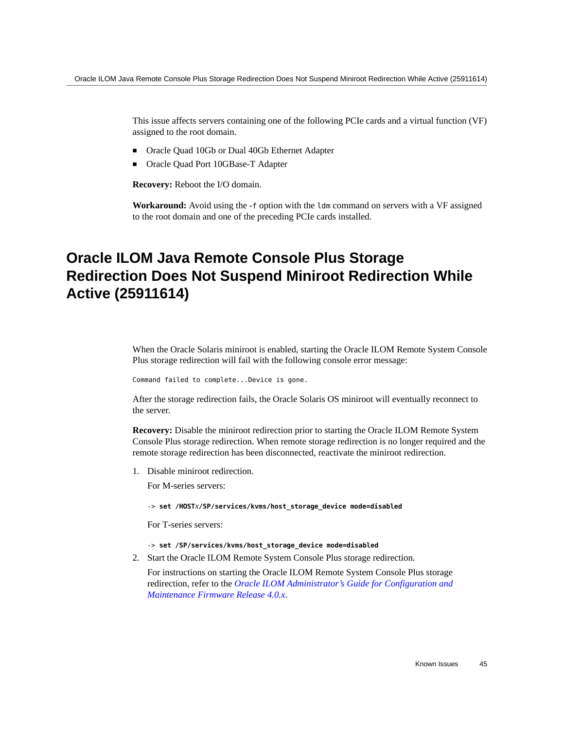This issue affects servers containing one of the following PCIe cards and a virtual function (VF) assigned to the root domain.

- Oracle Quad 10Gb or Dual 40Gb Ethernet Adapter
- Oracle Quad Port 10GBase-T Adapter

**Recovery:** Reboot the I/O domain.

**Workaround:** Avoid using the -f option with the ldm command on servers with a VF assigned to the root domain and one of the preceding PCIe cards installed.

## <span id="page-44-0"></span>**Oracle ILOM Java Remote Console Plus Storage Redirection Does Not Suspend Miniroot Redirection While Active (25911614)**

When the Oracle Solaris miniroot is enabled, starting the Oracle ILOM Remote System Console Plus storage redirection will fail with the following console error message:

Command failed to complete...Device is gone.

After the storage redirection fails, the Oracle Solaris OS miniroot will eventually reconnect to the server.

**Recovery:** Disable the miniroot redirection prior to starting the Oracle ILOM Remote System Console Plus storage redirection. When remote storage redirection is no longer required and the remote storage redirection has been disconnected, reactivate the miniroot redirection.

1. Disable miniroot redirection.

For M-series servers:

-> **set /HOST***x***/SP/services/kvms/host\_storage\_device mode=disabled**

For T-series servers:

- -> **set /SP/services/kvms/host\_storage\_device mode=disabled**
- 2. Start the Oracle ILOM Remote System Console Plus storage redirection.

For instructions on starting the Oracle ILOM Remote System Console Plus storage redirection, refer to the *[Oracle ILOM Administrator's Guide for Configuration and](http://www.oracle.com/pls/topic/lookup?ctx=E81115-01&id=IILCG) [Maintenance Firmware Release 4.0.x](http://www.oracle.com/pls/topic/lookup?ctx=E81115-01&id=IILCG)*.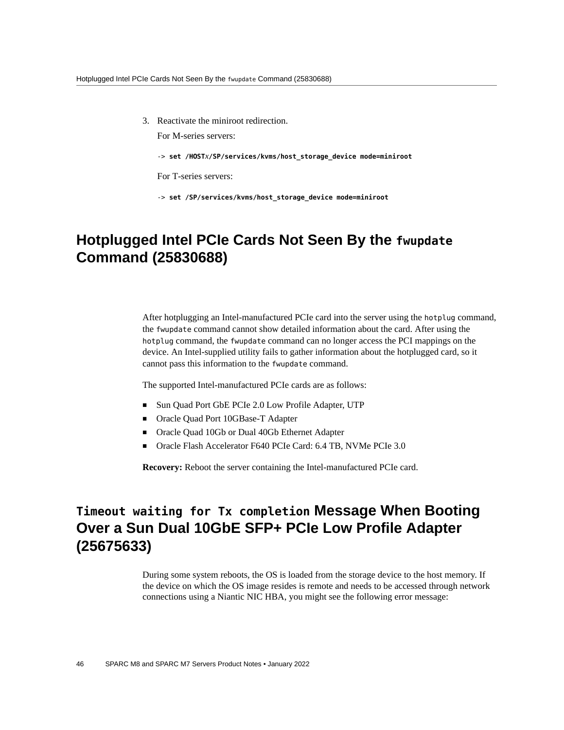3. Reactivate the miniroot redirection.

For M-series servers:

-> **set /HOST***x***/SP/services/kvms/host\_storage\_device mode=miniroot**

For T-series servers:

-> **set /SP/services/kvms/host\_storage\_device mode=miniroot**

## <span id="page-45-0"></span>**Hotplugged Intel PCIe Cards Not Seen By the fwupdate Command (25830688)**

After hotplugging an Intel-manufactured PCIe card into the server using the hotplug command, the fwupdate command cannot show detailed information about the card. After using the hotplug command, the fwupdate command can no longer access the PCI mappings on the device. An Intel-supplied utility fails to gather information about the hotplugged card, so it cannot pass this information to the fwupdate command.

The supported Intel-manufactured PCIe cards are as follows:

- Sun Quad Port GbE PCIe 2.0 Low Profile Adapter, UTP
- Oracle Quad Port 10GBase-T Adapter
- Oracle Quad 10Gb or Dual 40Gb Ethernet Adapter
- Oracle Flash Accelerator F640 PCIe Card: 6.4 TB, NVMe PCIe 3.0

**Recovery:** Reboot the server containing the Intel-manufactured PCIe card.

## <span id="page-45-1"></span>**Timeout waiting for Tx completion Message When Booting Over a Sun Dual 10GbE SFP+ PCIe Low Profile Adapter (25675633)**

During some system reboots, the OS is loaded from the storage device to the host memory. If the device on which the OS image resides is remote and needs to be accessed through network connections using a Niantic NIC HBA, you might see the following error message: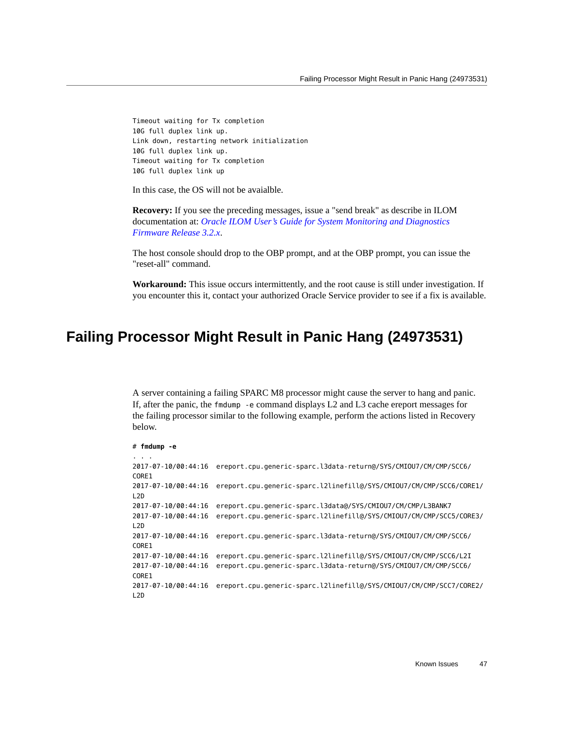Timeout waiting for Tx completion 10G full duplex link up. Link down, restarting network initialization 10G full duplex link up. Timeout waiting for Tx completion 10G full duplex link up

In this case, the OS will not be avaialble.

**Recovery:** If you see the preceding messages, issue a "send break" as describe in ILOM documentation at: *[Oracle ILOM User's Guide for System Monitoring and Diagnostics](http://www.oracle.com/pls/topic/lookup?ctx=E37444-01&id=ILMUG) [Firmware Release 3.2.x](http://www.oracle.com/pls/topic/lookup?ctx=E37444-01&id=ILMUG)*.

The host console should drop to the OBP prompt, and at the OBP prompt, you can issue the "reset-all" command.

**Workaround:** This issue occurs intermittently, and the root cause is still under investigation. If you encounter this it, contact your authorized Oracle Service provider to see if a fix is available.

#### <span id="page-46-0"></span>**Failing Processor Might Result in Panic Hang (24973531)**

A server containing a failing SPARC M8 processor might cause the server to hang and panic. If, after the panic, the fmdump -e command displays L2 and L3 cache ereport messages for the failing processor similar to the following example, perform the actions listed in Recovery below.

```
# fmdump -e
. . .
2017-07-10/00:44:16 ereport.cpu.generic-sparc.l3data-return@/SYS/CMIOU7/CM/CMP/SCC6/
CORE1
2017-07-10/00:44:16 ereport.cpu.generic-sparc.l2linefill@/SYS/CMIOU7/CM/CMP/SCC6/CORE1/
L2D
2017-07-10/00:44:16 ereport.cpu.generic-sparc.l3data@/SYS/CMIOU7/CM/CMP/L3BANK7
2017-07-10/00:44:16 ereport.cpu.generic-sparc.l2linefill@/SYS/CMIOU7/CM/CMP/SCC5/CORE3/
L2D
2017-07-10/00:44:16 ereport.cpu.generic-sparc.l3data-return@/SYS/CMIOU7/CM/CMP/SCC6/
CORE1
2017-07-10/00:44:16 ereport.cpu.generic-sparc.l2linefill@/SYS/CMIOU7/CM/CMP/SCC6/L2I
2017-07-10/00:44:16 ereport.cpu.generic-sparc.l3data-return@/SYS/CMIOU7/CM/CMP/SCC6/
CORE1
2017-07-10/00:44:16 ereport.cpu.generic-sparc.l2linefill@/SYS/CMIOU7/CM/CMP/SCC7/CORE2/
L2D
```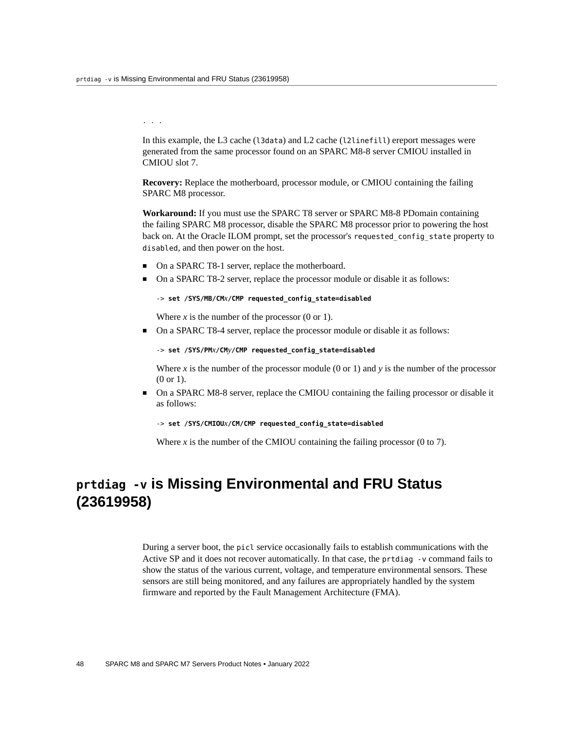. . .

In this example, the L3 cache (l3data) and L2 cache (l2linefill) ereport messages were generated from the same processor found on an SPARC M8-8 server CMIOU installed in CMIOU slot 7.

**Recovery:** Replace the motherboard, processor module, or CMIOU containing the failing SPARC M8 processor.

**Workaround:** If you must use the SPARC T8 server or SPARC M8-8 PDomain containing the failing SPARC M8 processor, disable the SPARC M8 processor prior to powering the host back on. At the Oracle ILOM prompt, set the processor's requested config state property to disabled, and then power on the host.

- On a SPARC T8-1 server, replace the motherboard.
- On a SPARC T8-2 server, replace the processor module or disable it as follows:

```
-> set /SYS/MB/CMx/CMP requested_config_state=disabled
```
Where  $x$  is the number of the processor  $(0 \text{ or } 1)$ .

■ On a SPARC T8-4 server, replace the processor module or disable it as follows:

```
-> set /SYS/PMx/CMy/CMP requested_config_state=disabled
```
Where  $x$  is the number of the processor module (0 or 1) and  $y$  is the number of the processor (0 or 1).

■ On a SPARC M8-8 server, replace the CMIOU containing the failing processor or disable it as follows:

-> **set /SYS/CMIOU***x***/CM/CMP requested\_config\_state=disabled**

Where *x* is the number of the CMIOU containing the failing processor (0 to 7).

## <span id="page-47-0"></span>**prtdiag -v is Missing Environmental and FRU Status (23619958)**

During a server boot, the picl service occasionally fails to establish communications with the Active SP and it does not recover automatically. In that case, the prtdiag -v command fails to show the status of the various current, voltage, and temperature environmental sensors. These sensors are still being monitored, and any failures are appropriately handled by the system firmware and reported by the Fault Management Architecture (FMA).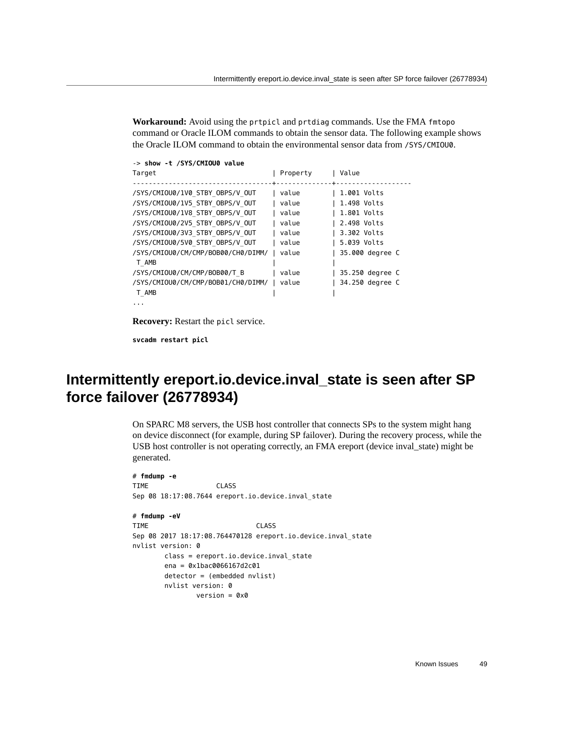**Workaround:** Avoid using the prtpicl and prtdiag commands. Use the FMA fmtopo command or Oracle ILOM commands to obtain the sensor data. The following example shows the Oracle ILOM command to obtain the environmental sensor data from /SYS/CMIOU0.

| -> show -t /SYS/CMIOU0 value       |          |                 |
|------------------------------------|----------|-----------------|
| Target                             | Property | Value           |
|                                    |          |                 |
| /SYS/CMIOU0/1V0 STBY OBPS/V OUT    | value    | 1.001 Volts     |
| /SYS/CMIOU0/1V5 STBY OBPS/V OUT    | value    | 1.498 Volts     |
| /SYS/CMIOU0/1V8 STBY OBPS/V OUT    | value    | 1.801 Volts     |
| /SYS/CMIOU0/2V5 STBY OBPS/V OUT    | value    | 2.498 Volts     |
| /SYS/CMIOU0/3V3 STBY OBPS/V OUT    | value    | 3.302 Volts     |
| /SYS/CMIOU0/5V0 STBY OBPS/V OUT    | value    | 5.039 Volts     |
| /SYS/CMIOU0/CM/CMP/BOB00/CH0/DIMM/ | value    | 35.000 degree C |
| T AMB                              |          |                 |
| /SYS/CMIOU0/CM/CMP/BOB00/T B       | value    | 35.250 degree C |
| /SYS/CMIOU0/CM/CMP/BOB01/CH0/DIMM/ | value    | 34.250 degree C |
| T AMB                              |          |                 |
|                                    |          |                 |

**Recovery:** Restart the picl service.

**svcadm restart picl**

## <span id="page-48-0"></span>**Intermittently ereport.io.device.inval\_state is seen after SP force failover (26778934)**

On SPARC M8 servers, the USB host controller that connects SPs to the system might hang on device disconnect (for example, during SP failover). During the recovery process, while the USB host controller is not operating correctly, an FMA ereport (device inval\_state) might be generated.

```
# fmdump -e
TIME CLASS 
Sep 08 18:17:08.7644 ereport.io.device.inval_state 
# fmdump -eV
TIME CLASS
Sep 08 2017 18:17:08.764470128 ereport.io.device.inval_state 
nvlist version: 0 
        class = ereport.io.device.inval_state 
        ena = 0x1bac0066167d2c01 
        detector = (embedded nvlist) 
        nvlist version: 0 
               version = 0x0
```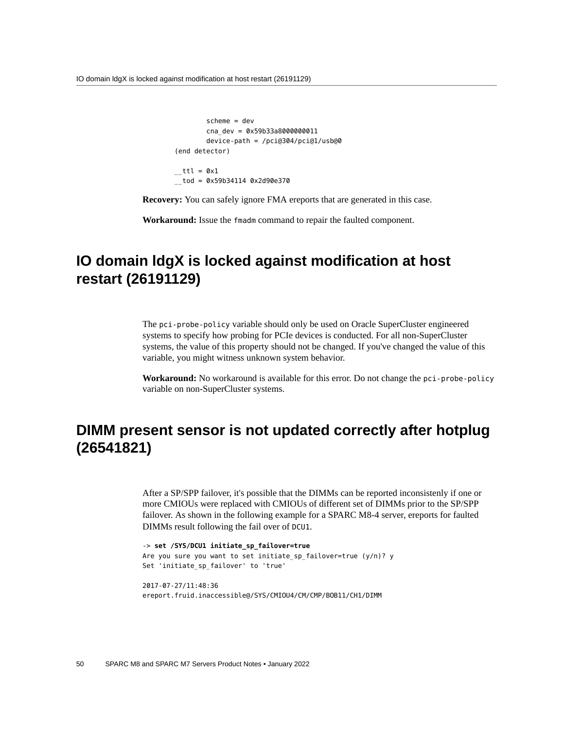IO domain ldgX is locked against modification at host restart (26191129)

```
 scheme = dev 
          cna_dev = 0x59b33a8000000011 
          device-path = /pci@304/pci@1/usb@0 
 (end detector) 
_{--}ttl = 0x1
_{--}tod = 0x59b34114 0x2d90e370
```
**Recovery:** You can safely ignore FMA ereports that are generated in this case.

**Workaround:** Issue the fmadm command to repair the faulted component.

## <span id="page-49-0"></span>**IO domain ldgX is locked against modification at host restart (26191129)**

The pci-probe-policy variable should only be used on Oracle SuperCluster engineered systems to specify how probing for PCIe devices is conducted. For all non-SuperCluster systems, the value of this property should not be changed. If you've changed the value of this variable, you might witness unknown system behavior.

**Workaround:** No workaround is available for this error. Do not change the pci-probe-policy variable on non-SuperCluster systems.

### <span id="page-49-1"></span>**DIMM present sensor is not updated correctly after hotplug (26541821)**

After a SP/SPP failover, it's possible that the DIMMs can be reported inconsistenly if one or more CMIOUs were replaced with CMIOUs of different set of DIMMs prior to the SP/SPP failover. As shown in the following example for a SPARC M8-4 server, ereports for faulted DIMMs result following the fail over of DCU1.

-> **set /SYS/DCU1 initiate\_sp\_failover=true** Are you sure you want to set initiate\_sp\_failover=true (y/n)? y Set 'initiate\_sp\_failover' to 'true'

2017-07-27/11:48:36 ereport.fruid.inaccessible@/SYS/CMIOU4/CM/CMP/BOB11/CH1/DIMM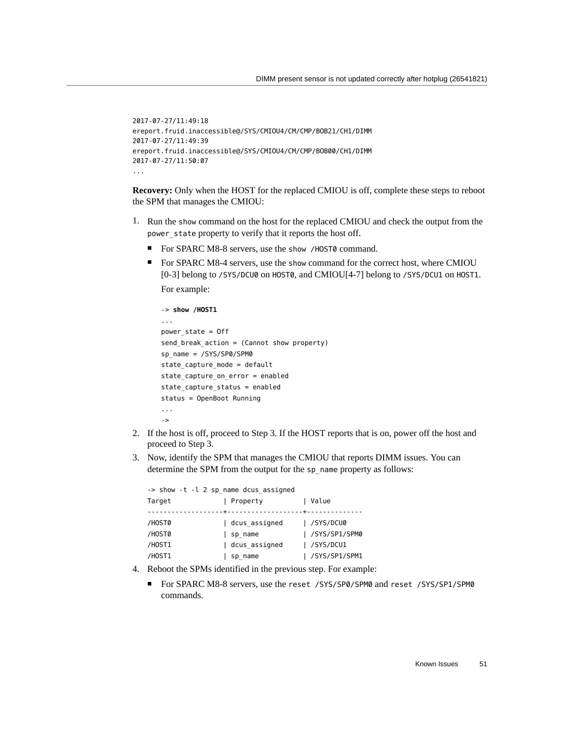```
2017-07-27/11:49:18
ereport.fruid.inaccessible@/SYS/CMIOU4/CM/CMP/BOB21/CH1/DIMM 
2017-07-27/11:49:39
ereport.fruid.inaccessible@/SYS/CMIOU4/CM/CMP/BOB00/CH1/DIMM 
2017-07-27/11:50:07
...
```
**Recovery:** Only when the HOST for the replaced CMIOU is off, complete these steps to reboot the SPM that manages the CMIOU:

- 1. Run the show command on the host for the replaced CMIOU and check the output from the power\_state property to verify that it reports the host off.
	- For SPARC M8-8 servers, use the show /H0ST0 command.
	- For SPARC M8-4 servers, use the show command for the correct host, where CMIOU [0-3] belong to /SYS/DCU0 on HOST0, and CMIOU[4-7] belong to /SYS/DCU1 on HOST1. For example:

```
-> show /HOST1
... 
power_state = Off
send break action = (Cannot show property)sp_name = /SYS/SP0/SPM0
state capture mode = default
state_capture_on_error = enabled
state capture status = enabled
status = OpenBoot Running
...
->
```
- 2. If the host is off, proceed to Step 3. If the HOST reports that is on, power off the host and proceed to Step 3.
- 3. Now, identify the SPM that manages the CMIOU that reports DIMM issues. You can determine the SPM from the output for the sp\_name property as follows:

-> show -t -l 2 sp\_name dcus\_assigned Target | Property | Value -------------------+-------------------+-------------- /HOST0 | dcus\_assigned | /SYS/DCU0 /HOST0 | sp\_name | /SYS/SP1/SPM0 /HOST1 | dcus\_assigned | /SYS/DCU1 /HOST1 | sp\_name | /SYS/SP1/SPM1

- 4. Reboot the SPMs identified in the previous step. For example:
	- For SPARC M8-8 servers, use the reset /SYS/SP0/SPM0 and reset /SYS/SP1/SPM0 commands.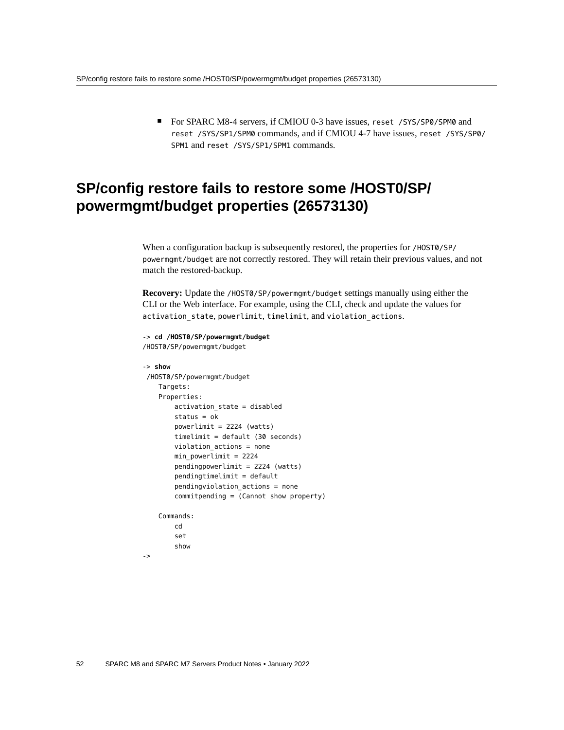■ For SPARC M8-4 servers, if CMIOU 0-3 have issues, reset /SYS/SP0/SPM0 and reset /SYS/SP1/SPM0 commands, and if CMIOU 4-7 have issues, reset /SYS/SP0/ SPM1 and reset /SYS/SP1/SPM1 commands.

## <span id="page-51-0"></span>**SP/config restore fails to restore some /HOST0/SP/ powermgmt/budget properties (26573130)**

When a configuration backup is subsequently restored, the properties for /HOST0/SP/ powermgmt/budget are not correctly restored. They will retain their previous values, and not match the restored-backup.

**Recovery:** Update the /HOST0/SP/powermgmt/budget settings manually using either the CLI or the Web interface. For example, using the CLI, check and update the values for activation state, powerlimit, timelimit, and violation actions.

```
-> cd /HOST0/SP/powermgmt/budget
/HOST0/SP/powermgmt/budget 
-> show
 /HOST0/SP/powermgmt/budget 
     Targets: 
     Properties: 
         activation_state = disabled 
         status = ok 
         powerlimit = 2224 (watts) 
         timelimit = default (30 seconds) 
         violation_actions = none 
         min_powerlimit = 2224 
         pendingpowerlimit = 2224 (watts) 
         pendingtimelimit = default 
         pendingviolation_actions = none 
         commitpending = (Cannot show property) 
     Commands: 
         cd 
         set 
         show 
->
```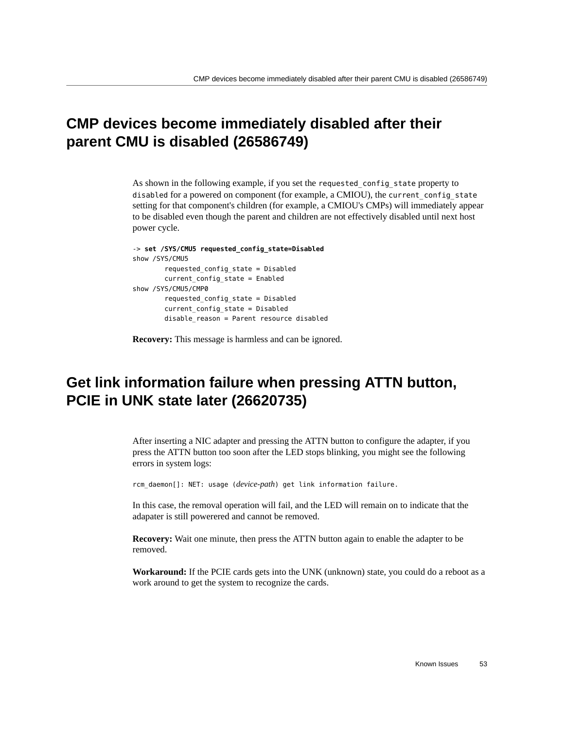## <span id="page-52-0"></span>**CMP devices become immediately disabled after their parent CMU is disabled (26586749)**

As shown in the following example, if you set the requested\_config\_state property to disabled for a powered on component (for example, a CMIOU), the current\_config\_state setting for that component's children (for example, a CMIOU's CMPs) will immediately appear to be disabled even though the parent and children are not effectively disabled until next host power cycle.

```
-> set /SYS/CMU5 requested_config_state=Disabled 
show /SYS/CMU5
         requested_config_state = Disabled
         current_config_state = Enabled
show /SYS/CMU5/CMP0
         requested_config_state = Disabled
         current_config_state = Disabled
        disable reason = Parent resource disabled
```
**Recovery:** This message is harmless and can be ignored.

## <span id="page-52-1"></span>**Get link information failure when pressing ATTN button, PCIE in UNK state later (26620735)**

After inserting a NIC adapter and pressing the ATTN button to configure the adapter, if you press the ATTN button too soon after the LED stops blinking, you might see the following errors in system logs:

rcm\_daemon[]: NET: usage (*device-path*) get link information failure.

In this case, the removal operation will fail, and the LED will remain on to indicate that the adapater is still powerered and cannot be removed.

**Recovery:** Wait one minute, then press the ATTN button again to enable the adapter to be removed.

**Workaround:** If the PCIE cards gets into the UNK (unknown) state, you could do a reboot as a work around to get the system to recognize the cards.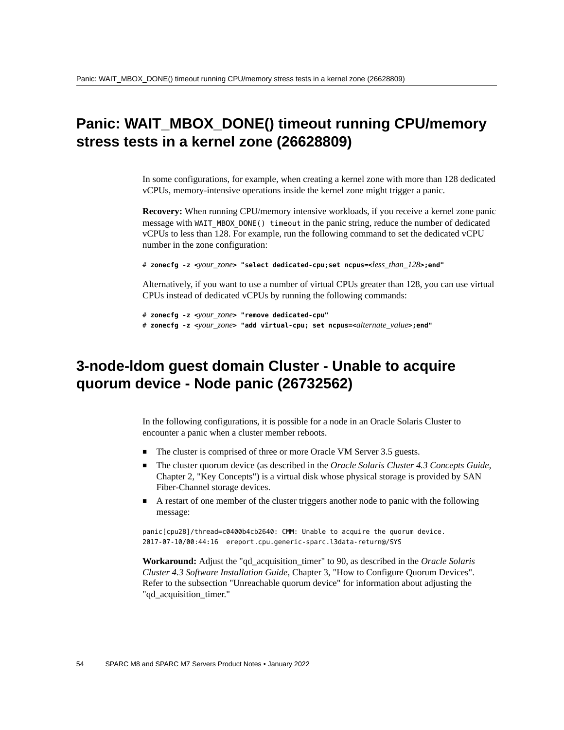## <span id="page-53-0"></span>**Panic: WAIT\_MBOX\_DONE() timeout running CPU/memory stress tests in a kernel zone (26628809)**

In some configurations, for example, when creating a kernel zone with more than 128 dedicated vCPUs, memory-intensive operations inside the kernel zone might trigger a panic.

**Recovery:** When running CPU/memory intensive workloads, if you receive a kernel zone panic message with WAIT\_MBOX\_DONE() timeout in the panic string, reduce the number of dedicated vCPUs to less than 128. For example, run the following command to set the dedicated vCPU number in the zone configuration:

# **zonecfg -z <***your\_zone***> "select dedicated-cpu;set ncpus=<***less\_than\_128***>;end"**

Alternatively, if you want to use a number of virtual CPUs greater than 128, you can use virtual CPUs instead of dedicated vCPUs by running the following commands:

```
# zonecfg -z <your_zone> "remove dedicated-cpu"
# zonecfg -z <your_zone> "add virtual-cpu; set ncpus=<alternate_value>;end"
```
### <span id="page-53-1"></span>**3-node-ldom guest domain Cluster - Unable to acquire quorum device - Node panic (26732562)**

In the following configurations, it is possible for a node in an Oracle Solaris Cluster to encounter a panic when a cluster member reboots.

- The cluster is comprised of three or more Oracle VM Server 3.5 guests.
- The cluster quorum device (as described in the *Oracle Solaris Cluster 4.3 Concepts Guide*, Chapter 2, "Key Concepts") is a virtual disk whose physical storage is provided by SAN Fiber-Channel storage devices.
- A restart of one member of the cluster triggers another node to panic with the following message:

panic[cpu28]/thread=c0400b4cb2640: CMM: Unable to acquire the quorum device. 2017-07-10/00:44:16 ereport.cpu.generic-sparc.l3data-return@/SYS

**Workaround:** Adjust the "qd\_acquisition\_timer" to 90, as described in the *Oracle Solaris Cluster 4.3 Software Installation Guide*, Chapter 3, "How to Configure Quorum Devices". Refer to the subsection "Unreachable quorum device" for information about adjusting the "gd\_acquisition\_timer."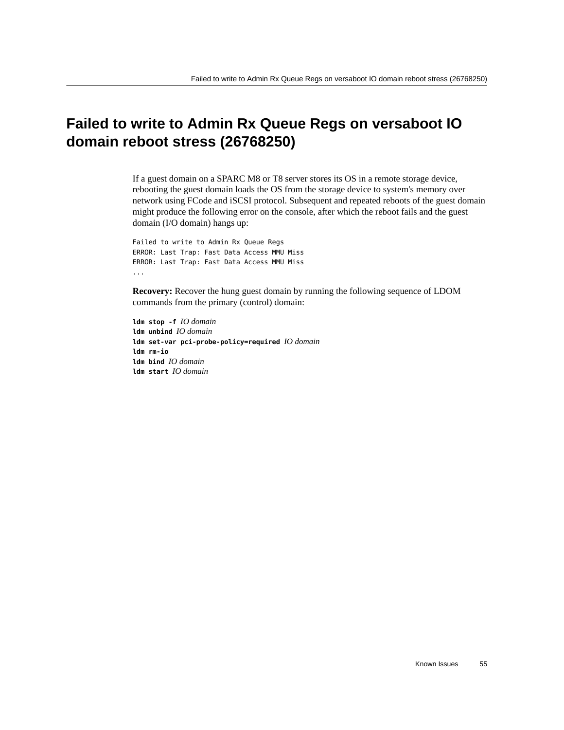## <span id="page-54-0"></span>**Failed to write to Admin Rx Queue Regs on versaboot IO domain reboot stress (26768250)**

If a guest domain on a SPARC M8 or T8 server stores its OS in a remote storage device, rebooting the guest domain loads the OS from the storage device to system's memory over network using FCode and iSCSI protocol. Subsequent and repeated reboots of the guest domain might produce the following error on the console, after which the reboot fails and the guest domain (I/O domain) hangs up:

Failed to write to Admin Rx Queue Regs ERROR: Last Trap: Fast Data Access MMU Miss ERROR: Last Trap: Fast Data Access MMU Miss ...

**Recovery:** Recover the hung guest domain by running the following sequence of LDOM commands from the primary (control) domain:

**ldm stop -f** *IO domain* **ldm unbind** *IO domain* **ldm set-var pci-probe-policy=required** *IO domain* **ldm rm-io ldm bind** *IO domain* **ldm start** *IO domain*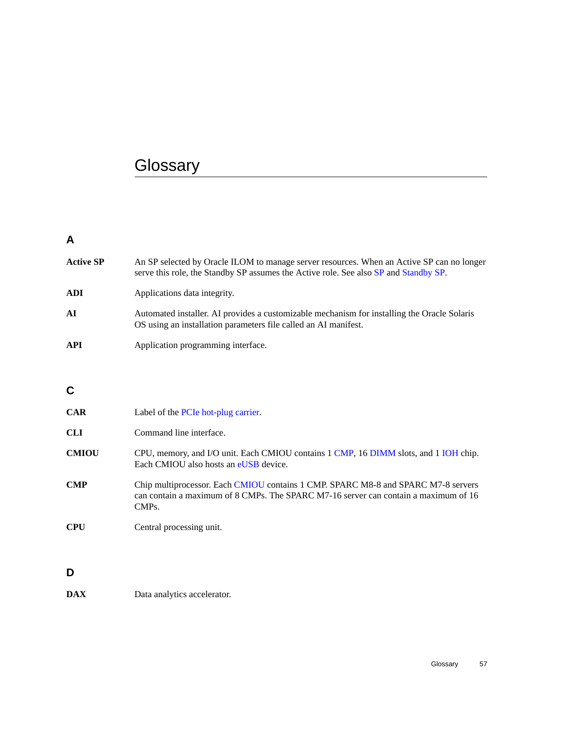# <span id="page-56-0"></span>**Glossary**

#### **A**

<span id="page-56-8"></span><span id="page-56-7"></span><span id="page-56-6"></span><span id="page-56-5"></span><span id="page-56-4"></span><span id="page-56-3"></span><span id="page-56-2"></span><span id="page-56-1"></span>

| <b>Active SP</b> | An SP selected by Oracle ILOM to manage server resources. When an Active SP can no longer<br>serve this role, the Standby SP assumes the Active role. See also SP and Standby SP. |
|------------------|-----------------------------------------------------------------------------------------------------------------------------------------------------------------------------------|
| <b>ADI</b>       | Applications data integrity.                                                                                                                                                      |
| AI               | Automated installer. AI provides a customizable mechanism for installing the Oracle Solaris<br>OS using an installation parameters file called an AI manifest.                    |
| API              | Application programming interface.                                                                                                                                                |
|                  |                                                                                                                                                                                   |
| C                |                                                                                                                                                                                   |
| <b>CAR</b>       | Label of the PCIe hot-plug carrier.                                                                                                                                               |
| <b>CLI</b>       | Command line interface.                                                                                                                                                           |
| <b>CMIOU</b>     | CPU, memory, and I/O unit. Each CMIOU contains 1 CMP, 16 DIMM slots, and 1 IOH chip.<br>Each CMIOU also hosts an eUSB device.                                                     |
| <b>CMP</b>       | Chip multiprocessor. Each CMIOU contains 1 CMP. SPARC M8-8 and SPARC M7-8 servers<br>can contain a maximum of 8 CMPs. The SPARC M7-16 server can contain a maximum of 16<br>CMPs. |
| <b>CPU</b>       | Central processing unit.                                                                                                                                                          |
|                  |                                                                                                                                                                                   |
| D                |                                                                                                                                                                                   |
| <b>DAX</b>       | Data analytics accelerator.                                                                                                                                                       |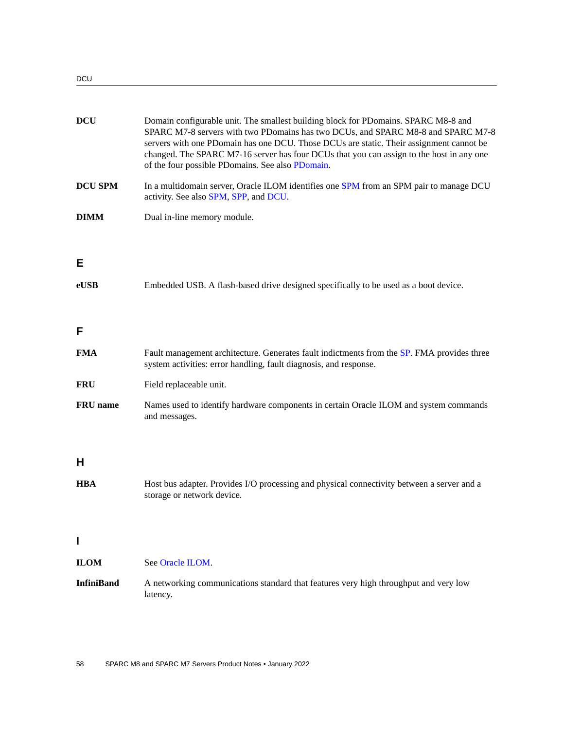DCU

<span id="page-57-5"></span><span id="page-57-4"></span><span id="page-57-3"></span><span id="page-57-2"></span><span id="page-57-1"></span><span id="page-57-0"></span>

| <b>DCU</b>      | Domain configurable unit. The smallest building block for PDomains. SPARC M8-8 and<br>SPARC M7-8 servers with two PDomains has two DCUs, and SPARC M8-8 and SPARC M7-8<br>servers with one PDomain has one DCU. Those DCUs are static. Their assignment cannot be<br>changed. The SPARC M7-16 server has four DCUs that you can assign to the host in any one<br>of the four possible PDomains. See also PDomain. |
|-----------------|-------------------------------------------------------------------------------------------------------------------------------------------------------------------------------------------------------------------------------------------------------------------------------------------------------------------------------------------------------------------------------------------------------------------|
| <b>DCU SPM</b>  | In a multidomain server, Oracle ILOM identifies one SPM from an SPM pair to manage DCU<br>activity. See also SPM, SPP, and DCU.                                                                                                                                                                                                                                                                                   |
| <b>DIMM</b>     | Dual in-line memory module.                                                                                                                                                                                                                                                                                                                                                                                       |
|                 |                                                                                                                                                                                                                                                                                                                                                                                                                   |
| E               |                                                                                                                                                                                                                                                                                                                                                                                                                   |
| eUSB            | Embedded USB. A flash-based drive designed specifically to be used as a boot device.                                                                                                                                                                                                                                                                                                                              |
|                 |                                                                                                                                                                                                                                                                                                                                                                                                                   |
| F               |                                                                                                                                                                                                                                                                                                                                                                                                                   |
| FMA             | Fault management architecture. Generates fault indictments from the SP. FMA provides three<br>system activities: error handling, fault diagnosis, and response.                                                                                                                                                                                                                                                   |
| FRU             | Field replaceable unit.                                                                                                                                                                                                                                                                                                                                                                                           |
| <b>FRU</b> name | Names used to identify hardware components in certain Oracle ILOM and system commands<br>and messages.                                                                                                                                                                                                                                                                                                            |
| H               |                                                                                                                                                                                                                                                                                                                                                                                                                   |
| <b>HBA</b>      | Host bus adapter. Provides I/O processing and physical connectivity between a server and a<br>storage or network device.                                                                                                                                                                                                                                                                                          |
|                 |                                                                                                                                                                                                                                                                                                                                                                                                                   |
|                 |                                                                                                                                                                                                                                                                                                                                                                                                                   |
| ILOM            | See Oracle ILOM.                                                                                                                                                                                                                                                                                                                                                                                                  |
| InfiniBand      | A networking communications standard that features very high throughput and very low<br>latency.                                                                                                                                                                                                                                                                                                                  |
|                 |                                                                                                                                                                                                                                                                                                                                                                                                                   |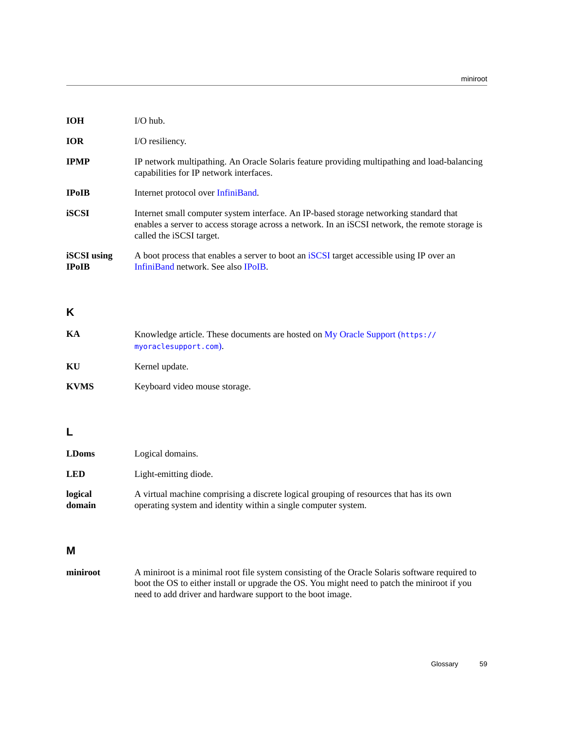<span id="page-58-5"></span><span id="page-58-3"></span>

| <b>IOH</b>                         | $I/O$ hub.                                                                                                                                                                                                            |
|------------------------------------|-----------------------------------------------------------------------------------------------------------------------------------------------------------------------------------------------------------------------|
| <b>IOR</b>                         | I/O resiliency.                                                                                                                                                                                                       |
| <b>IPMP</b>                        | IP network multipathing. An Oracle Solaris feature providing multipathing and load-balancing<br>capabilities for IP network interfaces.                                                                               |
| <b>IPoIB</b>                       | Internet protocol over InfiniBand.                                                                                                                                                                                    |
| <b>iSCSI</b>                       | Internet small computer system interface. An IP-based storage networking standard that<br>enables a server to access storage across a network. In an iSCSI network, the remote storage is<br>called the iSCSI target. |
| <b>iSCSI</b> using<br><b>IPoIB</b> | A boot process that enables a server to boot an iSCSI target accessible using IP over an<br>InfiniBand network. See also IPoIB.                                                                                       |

#### <span id="page-58-4"></span>**K**

<span id="page-58-0"></span>

| KА          | Knowledge article. These documents are hosted on My Oracle Support (https://<br>myoraclesupport.com). |
|-------------|-------------------------------------------------------------------------------------------------------|
| KU          | Kernel update.                                                                                        |
| <b>KVMS</b> | Keyboard video mouse storage.                                                                         |

#### **L**

<span id="page-58-2"></span>

| <b>LDoms</b>      | Logical domains.                                                                                                                                         |
|-------------------|----------------------------------------------------------------------------------------------------------------------------------------------------------|
| <b>LED</b>        | Light-emitting diode.                                                                                                                                    |
| logical<br>domain | A virtual machine comprising a discrete logical grouping of resources that has its own<br>operating system and identity within a single computer system. |

#### **M**

<span id="page-58-1"></span>**miniroot** A miniroot is a minimal root file system consisting of the Oracle Solaris software required to boot the OS to either install or upgrade the OS. You might need to patch the miniroot if you need to add driver and hardware support to the boot image.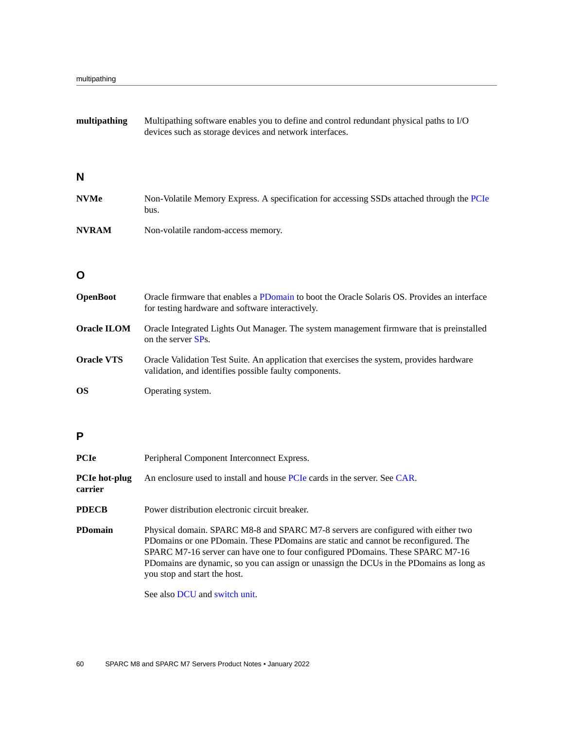<span id="page-59-3"></span>

| multipathing    | Multipathing software enables you to define and control redundant physical paths to I/O<br>devices such as storage devices and network interfaces. |  |  |
|-----------------|----------------------------------------------------------------------------------------------------------------------------------------------------|--|--|
| N               |                                                                                                                                                    |  |  |
| <b>NVMe</b>     | Non-Volatile Memory Express. A specification for accessing SSDs attached through the PCIe<br>bus.                                                  |  |  |
| <b>NVRAM</b>    | Non-volatile random-access memory.                                                                                                                 |  |  |
| O               |                                                                                                                                                    |  |  |
| <b>OpenBoot</b> | Oracle firmware that enables a PDomain to boot the Oracle Solaris OS. Provides an interface<br>for testing hardware and software interactively.    |  |  |

- <span id="page-59-6"></span>**Oracle ILOM** Oracle Integrated Lights Out Manager. The system management firmware that is preinstalled on the server [SP](#page-60-3)s.
- <span id="page-59-1"></span>**Oracle VTS** Oracle Validation Test Suite. An application that exercises the system, provides hardware validation, and identifies possible faulty components.
- <span id="page-59-0"></span>**OS** Operating system.

#### **P**

<span id="page-59-5"></span><span id="page-59-4"></span><span id="page-59-2"></span>

| <b>PCIe</b>                     | Peripheral Component Interconnect Express.                                                                                                                                                                                                                                                                                                                                           |
|---------------------------------|--------------------------------------------------------------------------------------------------------------------------------------------------------------------------------------------------------------------------------------------------------------------------------------------------------------------------------------------------------------------------------------|
| <b>PCIe hot-plug</b><br>carrier | An enclosure used to install and house PCIe cards in the server. See CAR.                                                                                                                                                                                                                                                                                                            |
| <b>PDECB</b>                    | Power distribution electronic circuit breaker.                                                                                                                                                                                                                                                                                                                                       |
| <b>PDomain</b>                  | Physical domain. SPARC M8-8 and SPARC M7-8 servers are configured with either two<br>PDomains or one PDomain. These PDomains are static and cannot be reconfigured. The<br>SPARC M7-16 server can have one to four configured PDomains. These SPARC M7-16<br>PDomains are dynamic, so you can assign or unassign the DCUs in the PDomains as long as<br>you stop and start the host. |

See also [DCU](#page-57-3) and [switch unit.](#page-61-4)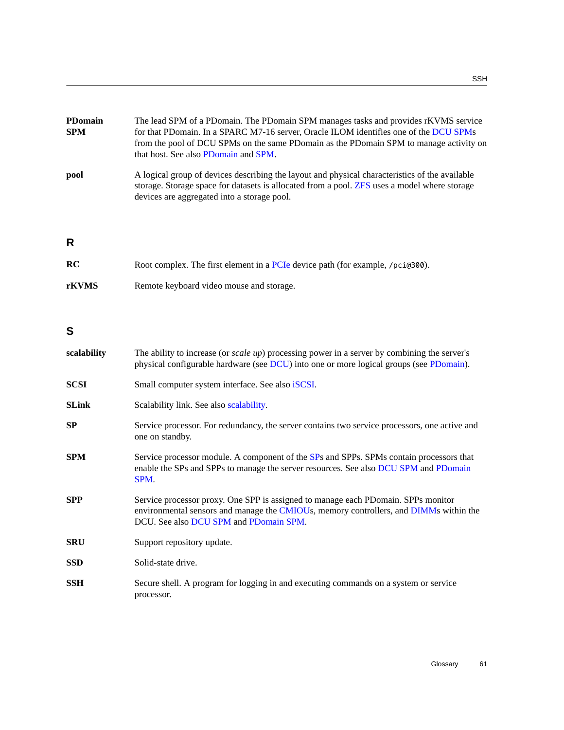<span id="page-60-7"></span>

| <b>PDomain</b><br><b>SPM</b> | The lead SPM of a PDomain. The PDomain SPM manages tasks and provides rKVMS service<br>for that PDomain. In a SPARC M7-16 server, Oracle ILOM identifies one of the DCU SPMs<br>from the pool of DCU SPMs on the same PDomain as the PDomain SPM to manage activity on<br>that host. See also PDomain and SPM. |
|------------------------------|----------------------------------------------------------------------------------------------------------------------------------------------------------------------------------------------------------------------------------------------------------------------------------------------------------------|
| pool                         | A logical group of devices describing the layout and physical characteristics of the available<br>storage. Storage space for datasets is allocated from a pool. ZFS uses a model where storage<br>devices are aggregated into a storage pool.                                                                  |
| R                            |                                                                                                                                                                                                                                                                                                                |
| <b>RC</b>                    | Root complex. The first element in a PCIe device path (for example, /pci@300).                                                                                                                                                                                                                                 |

| w     | ROOT COMPLEX. THE MIST EIGHIGHT IN a FUIC DEVICE Data (TOF EXAMPLE, / |
|-------|-----------------------------------------------------------------------|
| rKVMS | Remote keyboard video mouse and storage.                              |

#### **S**

<span id="page-60-6"></span><span id="page-60-5"></span><span id="page-60-4"></span><span id="page-60-3"></span><span id="page-60-2"></span><span id="page-60-1"></span><span id="page-60-0"></span>

| scalability  | The ability to increase (or <i>scale up</i> ) processing power in a server by combining the server's<br>physical configurable hardware (see DCU) into one or more logical groups (see PDomain).                      |
|--------------|----------------------------------------------------------------------------------------------------------------------------------------------------------------------------------------------------------------------|
| <b>SCSI</b>  | Small computer system interface. See also iSCSI.                                                                                                                                                                     |
| <b>SLink</b> | Scalability link. See also scalability.                                                                                                                                                                              |
| SP           | Service processor. For redundancy, the server contains two service processors, one active and<br>one on standby.                                                                                                     |
| <b>SPM</b>   | Service processor module. A component of the SPs and SPPs. SPMs contain processors that<br>enable the SPs and SPPs to manage the server resources. See also DCU SPM and PDomain<br>SPM.                              |
| <b>SPP</b>   | Service processor proxy. One SPP is assigned to manage each PDomain. SPPs monitor<br>environmental sensors and manage the CMIOUs, memory controllers, and DIMMs within the<br>DCU. See also DCU SPM and PDomain SPM. |
| <b>SRU</b>   | Support repository update.                                                                                                                                                                                           |
| <b>SSD</b>   | Solid-state drive.                                                                                                                                                                                                   |
| <b>SSH</b>   | Secure shell. A program for logging in and executing commands on a system or service<br>processor.                                                                                                                   |